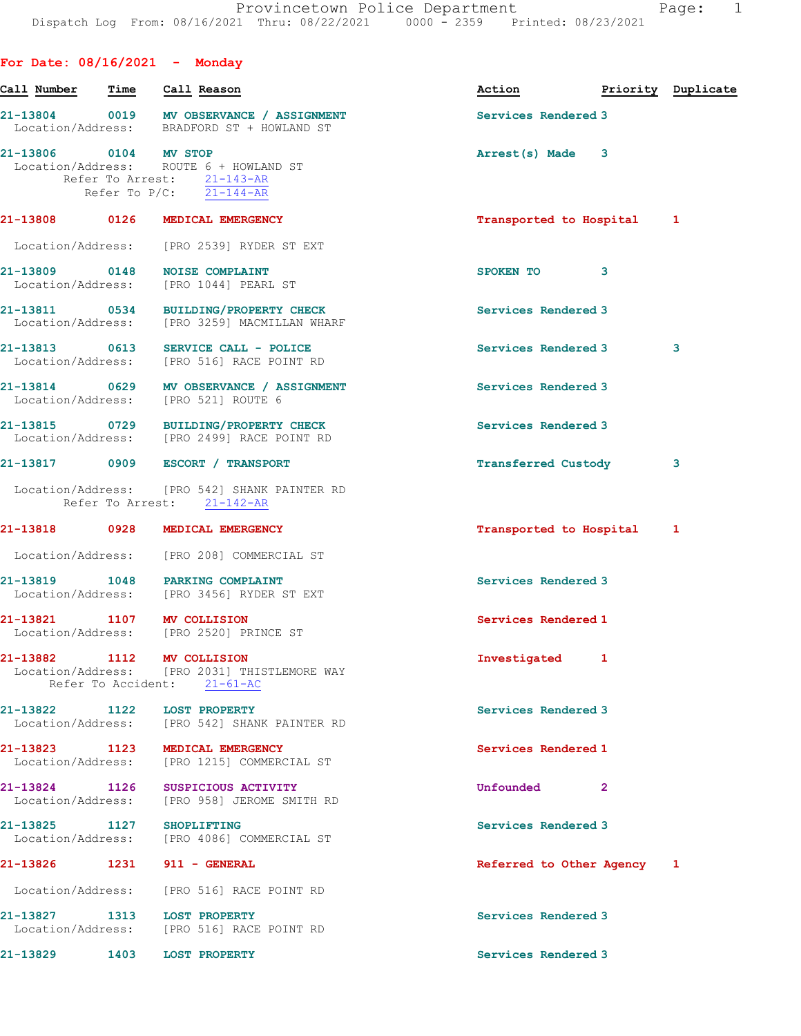| For Date: $08/16/2021$ - Monday    |      |                                                                                                           |                            |   |                    |
|------------------------------------|------|-----------------------------------------------------------------------------------------------------------|----------------------------|---|--------------------|
| Call Number                        | Time | Call Reason                                                                                               | Action                     |   | Priority Duplicate |
|                                    |      | 21-13804 0019 MV OBSERVANCE / ASSIGNMENT<br>Location/Address: BRADFORD ST + HOWLAND ST                    | Services Rendered 3        |   |                    |
| 21-13806 0104 MV STOP              |      | Location/Address: ROUTE 6 + HOWLAND ST<br>Refer To Arrest: 21-143-AR<br>Refer To $P/C$ : 21-144-AR        | Arrest(s) Made             | 3 |                    |
| 21-13808 0126                      |      | MEDICAL EMERGENCY                                                                                         | Transported to Hospital    |   | 1                  |
| Location/Address:                  |      | [PRO 2539] RYDER ST EXT                                                                                   |                            |   |                    |
| 21-13809 0148                      |      | <b>NOISE COMPLAINT</b><br>Location/Address: [PRO 1044] PEARL ST                                           | SPOKEN TO                  | 3 |                    |
| 21-13811 0534                      |      | BUILDING/PROPERTY CHECK<br>Location/Address: [PRO 3259] MACMILLAN WHARF                                   | Services Rendered 3        |   |                    |
| 21-13813 0613                      |      | SERVICE CALL - POLICE<br>Location/Address: [PRO 516] RACE POINT RD                                        | Services Rendered 3        |   | 3                  |
|                                    |      | 21-13814 0629 MV OBSERVANCE / ASSIGNMENT<br>Location/Address: [PRO 521] ROUTE 6                           | Services Rendered 3        |   |                    |
|                                    |      | 21-13815 0729 BUILDING/PROPERTY CHECK<br>Location/Address: [PRO 2499] RACE POINT RD                       | Services Rendered 3        |   |                    |
|                                    |      | 21-13817 0909 ESCORT / TRANSPORT                                                                          | Transferred Custody        |   | 3                  |
|                                    |      | Location/Address: [PRO 542] SHANK PAINTER RD<br>Refer To Arrest: 21-142-AR                                |                            |   |                    |
| 21-13818                           | 0928 | MEDICAL EMERGENCY                                                                                         | Transported to Hospital    |   | 1                  |
|                                    |      | Location/Address: [PRO 208] COMMERCIAL ST                                                                 |                            |   |                    |
|                                    |      | 21-13819 1048 PARKING COMPLAINT<br>Location/Address: [PRO 3456] RYDER ST EXT                              | Services Rendered 3        |   |                    |
|                                    |      | 21-13821 1107 MV COLLISION<br>Location/Address: [PRO 2520] PRINCE ST                                      | Services Rendered 1        |   |                    |
|                                    |      | 21-13882 1112 MV COLLISION<br>Location/Address: [PRO 2031] THISTLEMORE WAY<br>Refer To Accident: 21-61-AC | Investigated 1             |   |                    |
| 21-13822<br>Location/Address:      | 1122 | <b>LOST PROPERTY</b><br>[PRO 542] SHANK PAINTER RD                                                        | Services Rendered 3        |   |                    |
| 21-13823 1123<br>Location/Address: |      | MEDICAL EMERGENCY<br>[PRO 1215] COMMERCIAL ST                                                             | Services Rendered 1        |   |                    |
| 21-13824<br>Location/Address:      | 1126 | SUSPICIOUS ACTIVITY<br>[PRO 958] JEROME SMITH RD                                                          | Unfounded                  | 2 |                    |
| 21-13825 1127<br>Location/Address: |      | <b>SHOPLIFTING</b><br>[PRO 4086] COMMERCIAL ST                                                            | Services Rendered 3        |   |                    |
| 21-13826                           | 1231 | 911 - GENERAL                                                                                             | Referred to Other Agency 1 |   |                    |
| Location/Address:                  |      | [PRO 516] RACE POINT RD                                                                                   |                            |   |                    |
| 21-13827                           | 1313 | <b>LOST PROPERTY</b><br>Location/Address: [PRO 516] RACE POINT RD                                         | Services Rendered 3        |   |                    |
| 21-13829                           | 1403 | <b>LOST PROPERTY</b>                                                                                      | Services Rendered 3        |   |                    |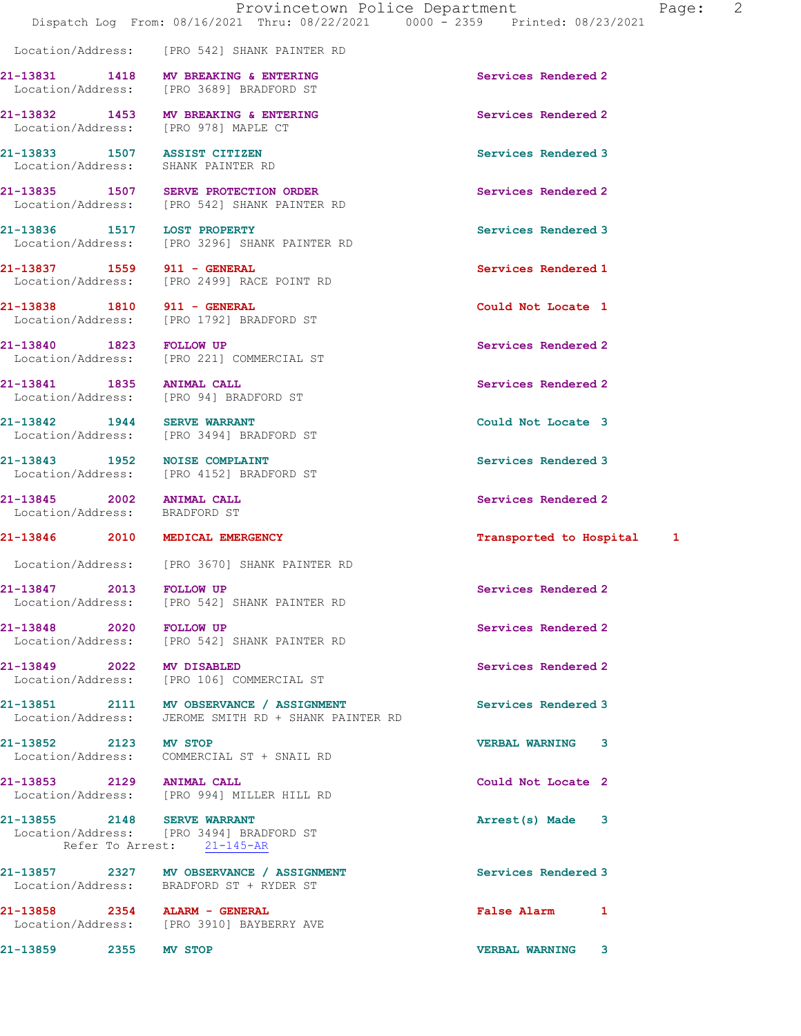Location/Address: [PRO 542] SHANK PAINTER RD

21-13831 1418 MV BREAKING & ENTERING 21-13831 Services Rendered 2 Location/Address: [PRO 3689] BRADFORD ST

21-13833 1507 ASSIST CITIZEN Services Rendered 3

21-13843 1952 NOISE COMPLAINT Services Rendered 3

21-13845 2002 ANIMAL CALL Services Rendered 2 Location/Address: BRADFORD ST

21-13848 2020 FOLLOW UP Services Rendered 2

21-13855 2148 SERVE WARRANT **Arrest(s)** Made 3 Location/Address: [PRO 3494] BRADFORD ST Refer To Arrest: 21-145-AR

Location/Address: BRADFORD ST + RYDER ST

Location/Address: [PRO 3910] BAYBERRY AVE

21-13859 2355 MV STOP VERBAL WARNING 3

21-13832 1453 MV BREAKING & ENTERING Services Rendered 2 Location/Address: [PRO 978] MAPLE CT

Location/Address: SHANK PAINTER RD

21-13835 1507 SERVE PROTECTION ORDER Services Rendered 2 Location/Address: [PRO 542] SHANK PAINTER RD

21-13836 1517 LOST PROPERTY Services Rendered 3 Location/Address: [PRO 3296] SHANK PAINTER RD

21-13837 1559 911 - GENERAL Services Rendered 1 Location/Address: [PRO 2499] RACE POINT RD

21-13838 1810 911 - GENERAL Could Not Locate 1 Location/Address: [PRO 1792] BRADFORD ST

21-13840 1823 FOLLOW UP Services Rendered 2 Location/Address: [PRO 221] COMMERCIAL ST

21-13841 1835 ANIMAL CALL Services Rendered 2 Location/Address: [PRO 94] BRADFORD ST

21-13842 1944 SERVE WARRANT 21-13842 Could Not Locate 3 Location/Address: [PRO 3494] BRADFORD ST

Location/Address: [PRO 4152] BRADFORD ST

Location/Address: [PRO 3670] SHANK PAINTER RD

21-13847 2013 FOLLOW UP Services Rendered 2 Location/Address: [PRO 542] SHANK PAINTER RD

Location/Address: [PRO 542] SHANK PAINTER RD

21-13849 2022 MV DISABLED 2000 Services Rendered 2 Location/Address: [PRO 106] COMMERCIAL ST

21-13851 2111 MV OBSERVANCE / ASSIGNMENT Services Rendered 3<br>
Location/Address: JEROME SMITH RD + SHANK PAINTER RD JEROME SMITH RD + SHANK PAINTER RD

21-13852 2123 MV STOP VERBAL WARNING 3 Location/Address: COMMERCIAL ST + SNAIL RD

21-13853 2129 ANIMAL CALL 20 20 20 21 23 21-13853 Location/Address: [PRO 994] MILLER HILL RD

21-13857 2327 MV OBSERVANCE / ASSIGNMENT Services Rendered 3

21-13858 2354 ALARM - GENERAL False Alarm 1

## 21-13846 2010 MEDICAL EMERGENCY Transported to Hospital 1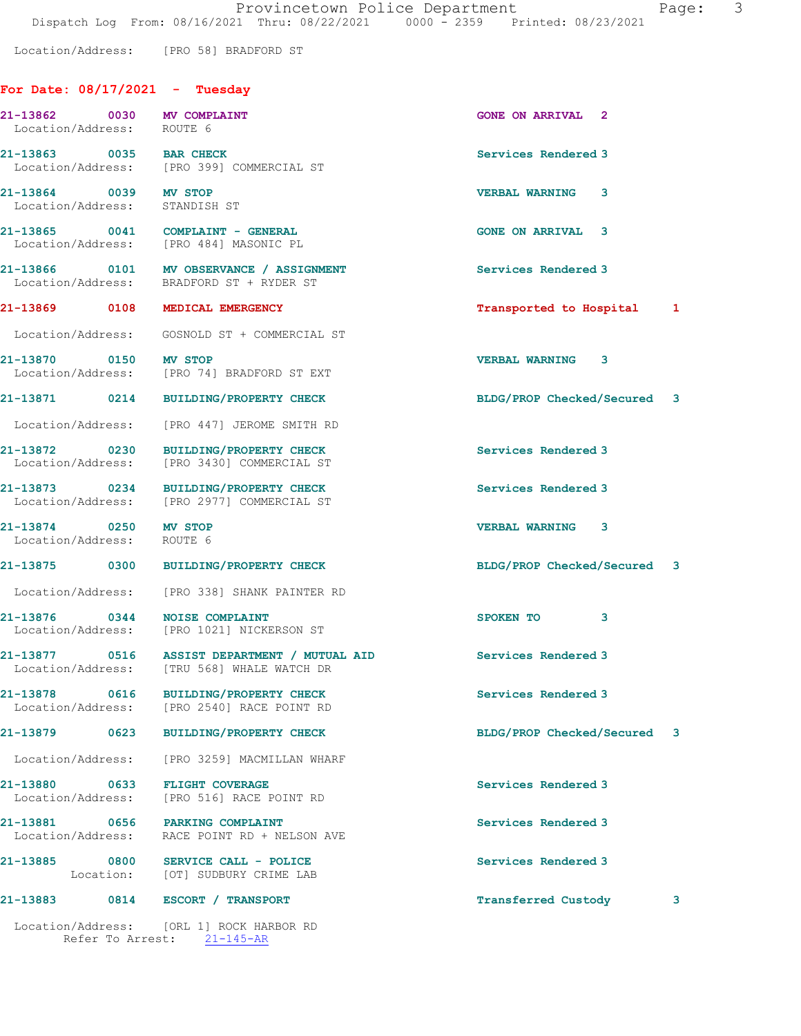Location/Address: [PRO 58] BRADFORD ST

## For Date: 08/17/2021 - Tuesday

| 21-13862 0030 MV COMPLAINT<br>Location/Address: ROUTE 6 |                                                                                            | <b>GONE ON ARRIVAL 2</b>    |   |
|---------------------------------------------------------|--------------------------------------------------------------------------------------------|-----------------------------|---|
| 21-13863 0035 BAR CHECK                                 | Location/Address: [PRO 399] COMMERCIAL ST                                                  | Services Rendered 3         |   |
| 21-13864 0039 MV STOP<br>Location/Address: STANDISH ST  |                                                                                            | <b>VERBAL WARNING 3</b>     |   |
|                                                         | 21-13865 0041 COMPLAINT - GENERAL<br>Location/Address: [PRO 484] MASONIC PL                | <b>GONE ON ARRIVAL 3</b>    |   |
|                                                         | 21-13866 0101 MV OBSERVANCE / ASSIGNMENT<br>Location/Address: BRADFORD ST + RYDER ST       | Services Rendered 3         |   |
| 21-13869 0108 MEDICAL EMERGENCY                         |                                                                                            | Transported to Hospital 1   |   |
|                                                         | Location/Address: GOSNOLD ST + COMMERCIAL ST                                               |                             |   |
| 21-13870 0150 MV STOP                                   | Location/Address: [PRO 74] BRADFORD ST EXT                                                 | <b>VERBAL WARNING 3</b>     |   |
|                                                         | 21-13871 0214 BUILDING/PROPERTY CHECK                                                      | BLDG/PROP Checked/Secured 3 |   |
|                                                         | Location/Address: [PRO 447] JEROME SMITH RD                                                |                             |   |
|                                                         | 21-13872 0230 BUILDING/PROPERTY CHECK<br>Location/Address: [PRO 3430] COMMERCIAL ST        | Services Rendered 3         |   |
|                                                         | 21-13873 0234 BUILDING/PROPERTY CHECK<br>Location/Address: [PRO 2977] COMMERCIAL ST        | Services Rendered 3         |   |
| 21-13874 0250 MV STOP<br>Location/Address: ROUTE 6      |                                                                                            | <b>VERBAL WARNING 3</b>     |   |
|                                                         | 21-13875 0300 BUILDING/PROPERTY CHECK                                                      | BLDG/PROP Checked/Secured 3 |   |
|                                                         | Location/Address: [PRO 338] SHANK PAINTER RD                                               |                             |   |
| 21-13876 0344 NOISE COMPLAINT                           | Location/Address: [PRO 1021] NICKERSON ST                                                  | SPOKEN TO 3                 |   |
|                                                         | 21-13877 0516 ASSIST DEPARTMENT / MUTUAL AID<br>Location/Address: [TRU 568] WHALE WATCH DR | Services Rendered 3         |   |
| 21-13878<br>0616<br>Location/Address:                   | <b>BUILDING/PROPERTY CHECK</b><br>[PRO 2540] RACE POINT RD                                 | Services Rendered 3         |   |
| 21-13879 0623                                           | <b>BUILDING/PROPERTY CHECK</b>                                                             | BLDG/PROP Checked/Secured 3 |   |
| Location/Address:                                       | [PRO 3259] MACMILLAN WHARF                                                                 |                             |   |
| 21-13880 0633<br>Location/Address:                      | <b>FLIGHT COVERAGE</b><br>[PRO 516] RACE POINT RD                                          | Services Rendered 3         |   |
| 21-13881 0656<br>Location/Address:                      | PARKING COMPLAINT<br>RACE POINT RD + NELSON AVE                                            | Services Rendered 3         |   |
| 21-13885                                                | 0800 SERVICE CALL - POLICE<br>Location: [OT] SUDBURY CRIME LAB                             | Services Rendered 3         |   |
| 21-13883                                                | 0814 ESCORT / TRANSPORT                                                                    | <b>Transferred Custody</b>  | 3 |
|                                                         | Location/Address: [ORL 1] ROCK HARBOR RD<br>Refer To Arrest: 21-145-AR                     |                             |   |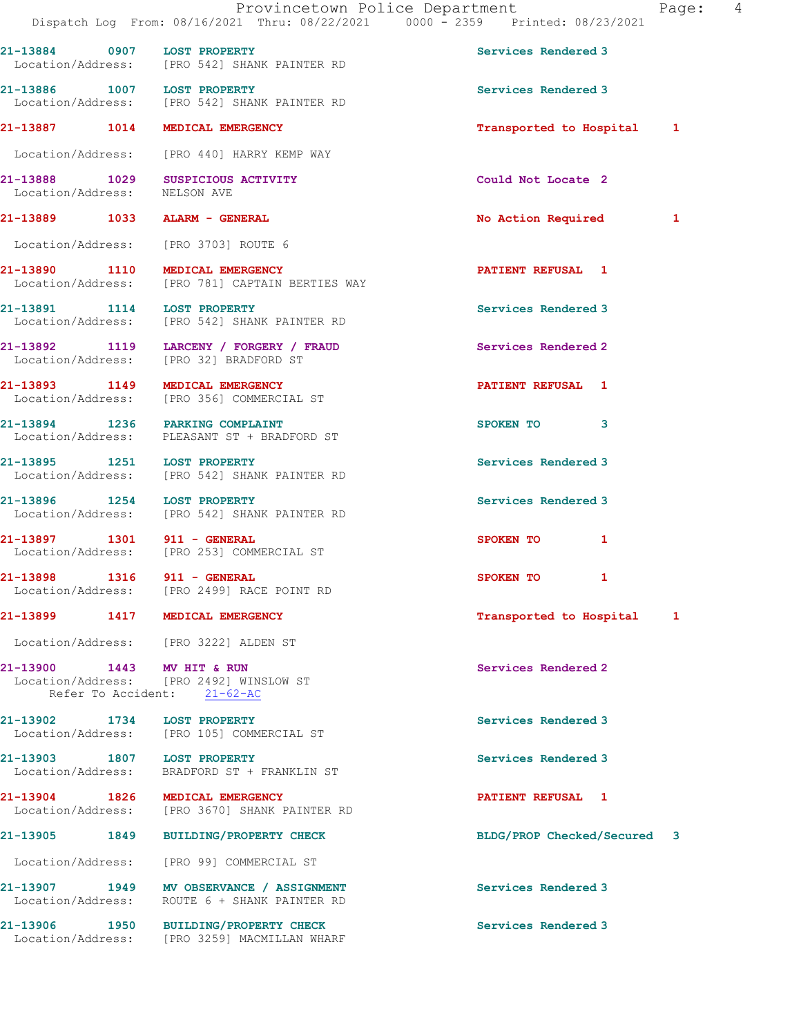|                              | Provincetown Police Department<br>Dispatch Log From: 08/16/2021 Thru: 08/22/2021 0000 - 2359 Printed: 08/23/2021 |                             | Page: 4 |
|------------------------------|------------------------------------------------------------------------------------------------------------------|-----------------------------|---------|
| 21-13884 0907 LOST PROPERTY  | Location/Address: [PRO 542] SHANK PAINTER RD                                                                     | Services Rendered 3         |         |
|                              | 21-13886 1007 LOST PROPERTY<br>Location/Address: [PRO 542] SHANK PAINTER RD                                      | Services Rendered 3         |         |
|                              | 21-13887 1014 MEDICAL EMERGENCY                                                                                  | Transported to Hospital 1   |         |
|                              | Location/Address: [PRO 440] HARRY KEMP WAY                                                                       |                             |         |
| Location/Address: NELSON AVE | 21-13888 1029 SUSPICIOUS ACTIVITY                                                                                | Could Not Locate 2          |         |
|                              | 21-13889 1033 ALARM - GENERAL                                                                                    | No Action Required 1        |         |
|                              | Location/Address: [PRO 3703] ROUTE 6                                                                             |                             |         |
|                              | 21-13890 1110 MEDICAL EMERGENCY<br>Location/Address: [PRO 781] CAPTAIN BERTIES WAY                               | <b>PATIENT REFUSAL 1</b>    |         |
|                              | 21-13891 1114 LOST PROPERTY<br>Location/Address: [PRO 542] SHANK PAINTER RD                                      | Services Rendered 3         |         |
|                              | 21-13892 1119 LARCENY / FORGERY / FRAUD<br>Location/Address: [PRO 32] BRADFORD ST                                | Services Rendered 2         |         |
|                              | 21-13893 1149 MEDICAL EMERGENCY<br>Location/Address: [PRO 356] COMMERCIAL ST                                     | <b>PATIENT REFUSAL 1</b>    |         |
|                              | 21-13894 1236 PARKING COMPLAINT<br>Location/Address: PLEASANT ST + BRADFORD ST                                   | SPOKEN TO 3                 |         |
| 21-13895 1251 LOST PROPERTY  | Location/Address: [PRO 542] SHANK PAINTER RD                                                                     | Services Rendered 3         |         |
| 21-13896 1254 LOST PROPERTY  | Location/Address: [PRO 542] SHANK PAINTER RD                                                                     | Services Rendered 3         |         |
| 21-13897 1301 911 - GENERAL  | Location/Address: [PRO 253] COMMERCIAL ST                                                                        | SPOKEN TO 1                 |         |
| 21-13898 1316 911 - GENERAL  | Location/Address: [PRO 2499] RACE POINT RD                                                                       | SPOKEN TO 1                 |         |
|                              | 21-13899 1417 MEDICAL EMERGENCY                                                                                  | Transported to Hospital 1   |         |
|                              | Location/Address: [PRO 3222] ALDEN ST                                                                            |                             |         |
| 21-13900 1443 MV HIT & RUN   | Location/Address: [PRO 2492] WINSLOW ST<br>Refer To Accident: 21-62-AC                                           | Services Rendered 2         |         |
| 21-13902 1734 LOST PROPERTY  | Location/Address: [PRO 105] COMMERCIAL ST                                                                        | Services Rendered 3         |         |
| 21-13903 1807 LOST PROPERTY  | Location/Address: BRADFORD ST + FRANKLIN ST                                                                      | Services Rendered 3         |         |
|                              | 21-13904 1826 MEDICAL EMERGENCY<br>Location/Address: [PRO 3670] SHANK PAINTER RD                                 | PATIENT REFUSAL 1           |         |
|                              | 21-13905 1849 BUILDING/PROPERTY CHECK                                                                            | BLDG/PROP Checked/Secured 3 |         |
|                              | Location/Address: [PRO 99] COMMERCIAL ST                                                                         |                             |         |
|                              | 21-13907 1949 MV OBSERVANCE / ASSIGNMENT<br>Location/Address: ROUTE 6 + SHANK PAINTER RD                         | Services Rendered 3         |         |
|                              | 21-13906 1950 BUILDING/PROPERTY CHECK<br>Location/Address: [PRO 3259] MACMILLAN WHARF                            | Services Rendered 3         |         |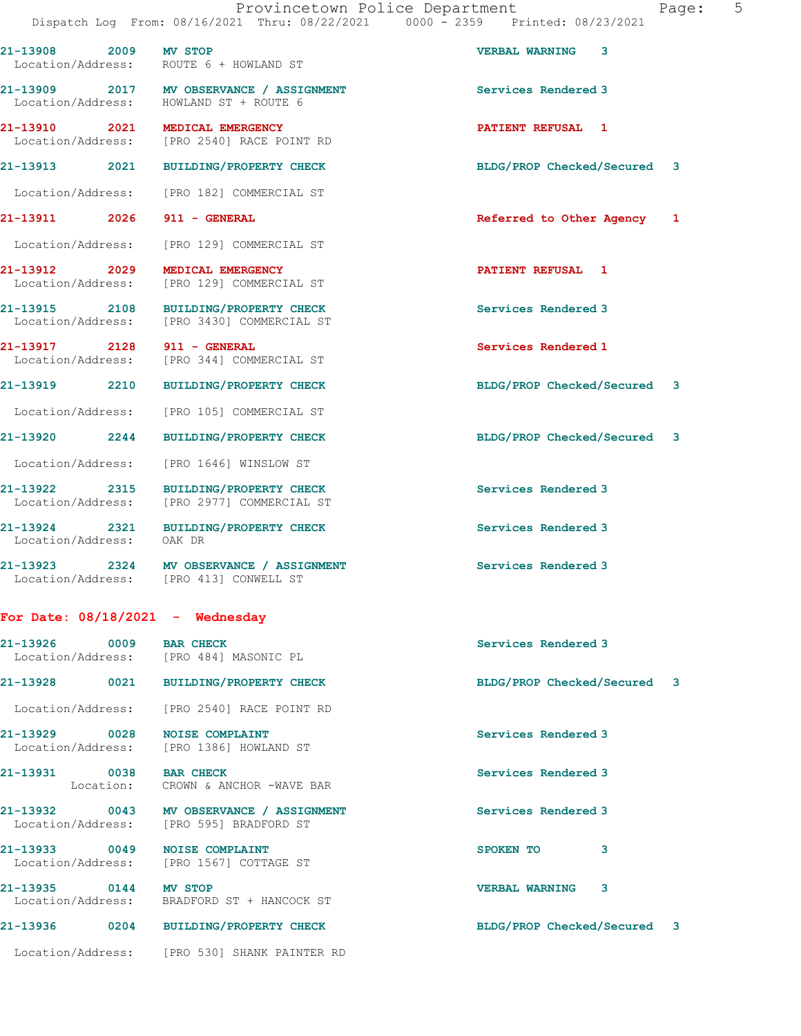21-13908 2009 MV STOP VERBAL WARNING 3 Location/Address: ROUTE 6 + HOWLAND ST 21-13909 2017 MV OBSERVANCE / ASSIGNMENT Services Rendered 3 Location/Address: HOWLAND ST + ROUTE 6 21-13910 2021 MEDICAL EMERGENCY PATIENT REFUSAL 1 Location/Address: [PRO 2540] RACE POINT RD 21-13913 2021 BUILDING/PROPERTY CHECK BLDG/PROP Checked/Secured 3 Location/Address: [PRO 182] COMMERCIAL ST 21-13911 2026 911 - GENERAL **Referred to Other Agency** 1 Location/Address: [PRO 129] COMMERCIAL ST 21-13912 2029 MEDICAL EMERGENCY 2008 2009 2011 2029 PATIENT REFUSAL Location/Address: [PRO 129] COMMERCIAL ST 21-13915 2108 BUILDING/PROPERTY CHECK Services Rendered 3 Location/Address: [PRO 3430] COMMERCIAL ST 21-13917 2128 911 - GENERAL 21 Services Rendered 1<br>
Location/Address: [PRO 344] COMMERCIAL ST [PRO 344] COMMERCIAL ST 21-13919 2210 BUILDING/PROPERTY CHECK BLDG/PROP Checked/Secured 3 Location/Address: [PRO 105] COMMERCIAL ST 21-13920 2244 BUILDING/PROPERTY CHECK BLDG/PROP Checked/Secured 3 Location/Address: [PRO 1646] WINSLOW ST 21-13922 2315 BUILDING/PROPERTY CHECK 2315 Services Rendered 3 Location/Address: [PRO 2977] COMMERCIAL ST 21-13924 2321 BUILDING/PROPERTY CHECK Services Rendered 3 Location/Address: OAK DR 21-13923 2324 MV OBSERVANCE / ASSIGNMENT Services Rendered 3 Location/Address: [PRO 413] CONWELL ST For Date: 08/18/2021 - Wednesday 21-13926 0009 BAR CHECK Services Rendered 3 Location/Address: [PRO 484] MASONIC PL 21-13928 0021 BUILDING/PROPERTY CHECK BLDG/PROP Checked/Secured 3 Location/Address: [PRO 2540] RACE POINT RD 21-13929 0028 NOISE COMPLAINT Services Rendered 3 Location/Address: [PRO 1386] HOWLAND ST 21-13931 0038 BAR CHECK Services Rendered 3

Location: CROWN & ANCHOR -WAVE BAR

Location/Address: [PRO 595] BRADFORD ST

21-13933 0049 NOISE COMPLAINT SPOKEN TO 3 Location/Address: [PRO 1567] COTTAGE ST

21-13935 0144 MV STOP (21-13935 0144 MV STOP VERBAL WARNING 3

BRADFORD ST + HANCOCK ST

Location/Address: [PRO 530] SHANK PAINTER RD

21-13932 0043 MV OBSERVANCE / ASSIGNMENT Services Rendered 3

21-13936 0204 BUILDING/PROPERTY CHECK BLDG/PROP Checked/Secured 3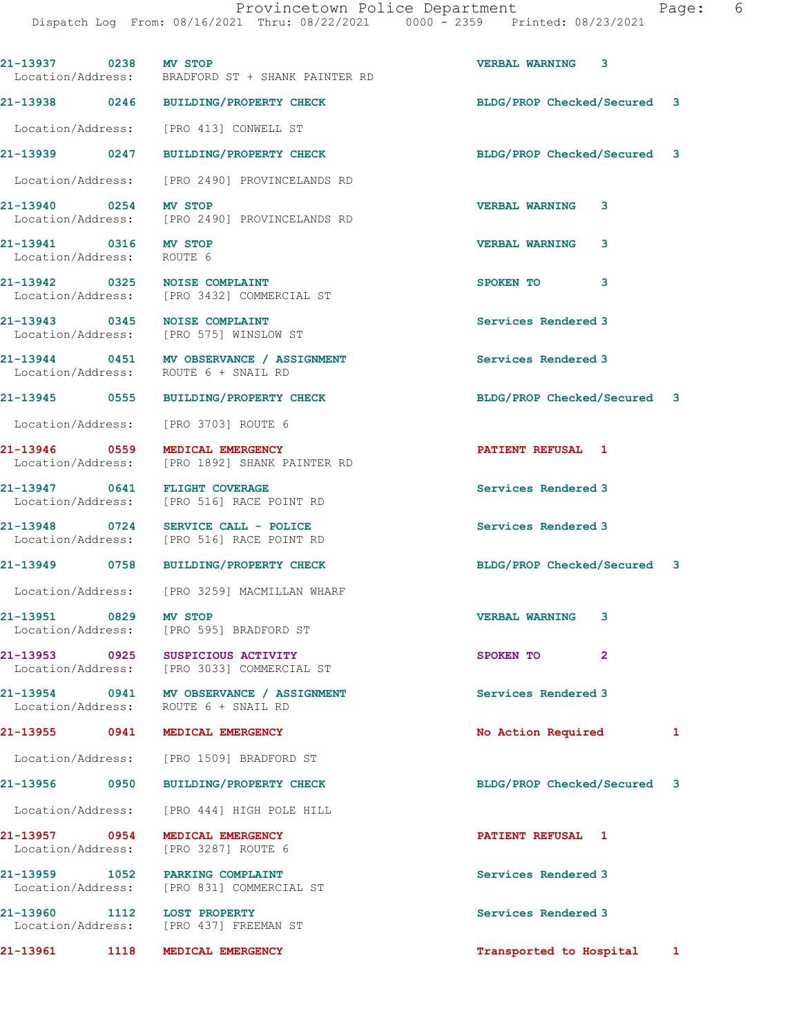Dispatch Log From: 08/16/2021 Thru: 08/22/2021 0000 - 2359 Printed: 08/23/2021

| 21-13937 0238 MV STOP                              |      | Location/Address: BRADFORD ST + SHANK PAINTER RD                                 | <b>VERBAL WARNING 3</b>        |  |
|----------------------------------------------------|------|----------------------------------------------------------------------------------|--------------------------------|--|
|                                                    |      | 21-13938 0246 BUILDING/PROPERTY CHECK                                            | BLDG/PROP Checked/Secured<br>3 |  |
|                                                    |      | Location/Address: [PRO 413] CONWELL ST                                           |                                |  |
| 21-13939 0247                                      |      | <b>BUILDING/PROPERTY CHECK</b>                                                   | BLDG/PROP Checked/Secured 3    |  |
|                                                    |      | Location/Address: [PRO 2490] PROVINCELANDS RD                                    |                                |  |
| 21-13940 0254 MV STOP                              |      | Location/Address: [PRO 2490] PROVINCELANDS RD                                    | <b>VERBAL WARNING</b><br>3     |  |
| 21-13941 0316 MV STOP<br>Location/Address: ROUTE 6 |      |                                                                                  | <b>VERBAL WARNING</b><br>3     |  |
|                                                    |      | 21-13942 0325 NOISE COMPLAINT<br>Location/Address: [PRO 3432] COMMERCIAL ST      | SPOKEN TO<br>3                 |  |
|                                                    |      | 21-13943 0345 NOISE COMPLAINT<br>Location/Address: [PRO 575] WINSLOW ST          | Services Rendered 3            |  |
|                                                    |      | 21-13944 0451 MV OBSERVANCE / ASSIGNMENT<br>Location/Address: ROUTE 6 + SNAIL RD | Services Rendered 3            |  |
|                                                    |      | 21-13945 0555 BUILDING/PROPERTY CHECK                                            | BLDG/PROP Checked/Secured 3    |  |
|                                                    |      | Location/Address: [PRO 3703] ROUTE 6                                             |                                |  |
|                                                    |      | 21-13946 0559 MEDICAL EMERGENCY<br>Location/Address: [PRO 1892] SHANK PAINTER RD | PATIENT REFUSAL 1              |  |
|                                                    |      | 21-13947 0641 FLIGHT COVERAGE<br>Location/Address: [PRO 516] RACE POINT RD       | Services Rendered 3            |  |
|                                                    |      | 21-13948 0724 SERVICE CALL - POLICE<br>Location/Address: [PRO 516] RACE POINT RD | Services Rendered 3            |  |
|                                                    |      | 21-13949 0758 BUILDING/PROPERTY CHECK                                            | BLDG/PROP Checked/Secured 3    |  |
|                                                    |      | Location/Address: [PRO 3259] MACMILLAN WHARF                                     |                                |  |
| 21-13951                                           | 0829 | MV STOP<br>Location/Address: [PRO 595] BRADFORD ST                               | <b>VERBAL WARNING</b><br>3     |  |
| 21-13953 0925                                      |      | SUSPICIOUS ACTIVITY<br>Location/Address: [PRO 3033] COMMERCIAL ST                | SPOKEN TO<br>$\overline{2}$    |  |
|                                                    |      | 21-13954 0941 MV OBSERVANCE / ASSIGNMENT<br>Location/Address: ROUTE 6 + SNAIL RD | Services Rendered 3            |  |
|                                                    |      | 21-13955 0941 MEDICAL EMERGENCY                                                  | No Action Required<br>1        |  |
|                                                    |      | Location/Address: [PRO 1509] BRADFORD ST                                         |                                |  |
| 21-13956                                           | 0950 | <b>BUILDING/PROPERTY CHECK</b>                                                   | BLDG/PROP Checked/Secured<br>3 |  |
|                                                    |      | Location/Address: [PRO 444] HIGH POLE HILL                                       |                                |  |
| 21-13957 0954                                      |      | <b>MEDICAL EMERGENCY</b><br>Location/Address: [PRO 3287] ROUTE 6                 | PATIENT REFUSAL 1              |  |
|                                                    |      | 21-13959 1052 PARKING COMPLAINT<br>Location/Address: [PRO 831] COMMERCIAL ST     | Services Rendered 3            |  |
| 21-13960 1112                                      |      | <b>LOST PROPERTY</b><br>Location/Address: [PRO 437] FREEMAN ST                   | Services Rendered 3            |  |
| 21-13961 1118                                      |      | MEDICAL EMERGENCY                                                                | Transported to Hospital<br>1   |  |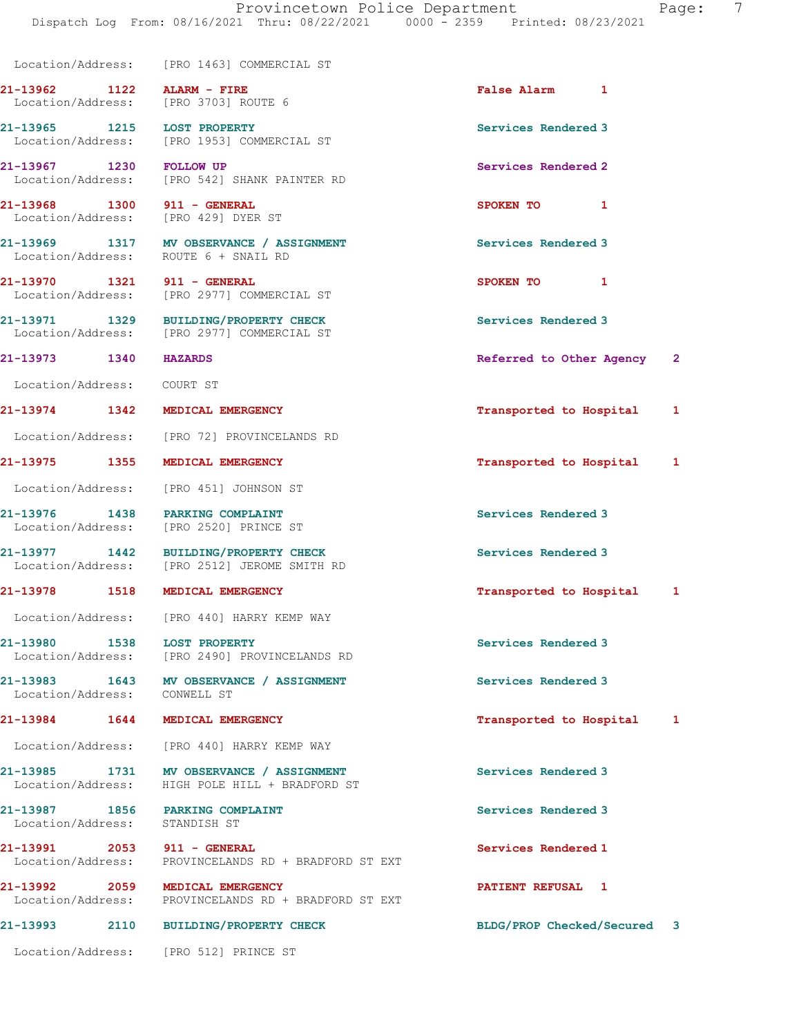|                               | Location/Address: [PRO 1463] COMMERCIAL ST                                                 |                             |   |
|-------------------------------|--------------------------------------------------------------------------------------------|-----------------------------|---|
|                               | 21-13962 1122 ALARM - FIRE<br>Location/Address: [PRO 3703] ROUTE 6                         | False Alarm 1               |   |
|                               | 21-13965 1215 LOST PROPERTY<br>Location/Address: [PRO 1953] COMMERCIAL ST                  | Services Rendered 3         |   |
| 21-13967 1230 FOLLOW UP       | Location/Address: [PRO 542] SHANK PAINTER RD                                               | Services Rendered 2         |   |
|                               | 21-13968 1300 911 - GENERAL<br>Location/Address: [PRO 429] DYER ST                         | SPOKEN TO 1                 |   |
|                               | 21-13969 1317 MV OBSERVANCE / ASSIGNMENT<br>Location/Address: ROUTE 6 + SNAIL RD           | Services Rendered 3         |   |
|                               | 21-13970 1321 911 - GENERAL<br>Location/Address: [PRO 2977] COMMERCIAL ST                  | SPOKEN TO 1                 |   |
|                               | 21-13971 1329 BUILDING/PROPERTY CHECK<br>Location/Address: [PRO 2977] COMMERCIAL ST        | Services Rendered 3         |   |
| 21-13973 1340 HAZARDS         |                                                                                            | Referred to Other Agency 2  |   |
| Location/Address: COURT ST    |                                                                                            |                             |   |
|                               | 21-13974 1342 MEDICAL EMERGENCY                                                            | Transported to Hospital     | 1 |
|                               | Location/Address: [PRO 72] PROVINCELANDS RD                                                |                             |   |
|                               | 21-13975 1355 MEDICAL EMERGENCY                                                            | Transported to Hospital     | 1 |
|                               | Location/Address: [PRO 451] JOHNSON ST                                                     |                             |   |
|                               | 21-13976 1438 PARKING COMPLAINT<br>Location/Address: [PRO 2520] PRINCE ST                  | Services Rendered 3         |   |
|                               | 21-13977 1442 BUILDING/PROPERTY CHECK<br>Location/Address: [PRO 2512] JEROME SMITH RD      | Services Rendered 3         |   |
|                               | 21-13978 1518 MEDICAL EMERGENCY                                                            | Transported to Hospital 1   |   |
|                               | Location/Address: [PRO 440] HARRY KEMP WAY                                                 |                             |   |
| 21-13980 1538                 | <b>LOST PROPERTY</b><br>Location/Address: [PRO 2490] PROVINCELANDS RD                      | Services Rendered 3         |   |
| Location/Address: CONWELL ST  | 21-13983 1643 MV OBSERVANCE / ASSIGNMENT                                                   | Services Rendered 3         |   |
|                               | 21-13984 1644 MEDICAL EMERGENCY                                                            | Transported to Hospital     | 1 |
|                               | Location/Address: [PRO 440] HARRY KEMP WAY                                                 |                             |   |
|                               | 21-13985 1731 MV OBSERVANCE / ASSIGNMENT<br>Location/Address: HIGH POLE HILL + BRADFORD ST | Services Rendered 3         |   |
| Location/Address: STANDISH ST | 21-13987 1856 PARKING COMPLAINT                                                            | Services Rendered 3         |   |
|                               | 21-13991 2053 911 - GENERAL<br>Location/Address: PROVINCELANDS RD + BRADFORD ST EXT        | Services Rendered 1         |   |
|                               | 21-13992 2059 MEDICAL EMERGENCY<br>Location/Address: PROVINCELANDS RD + BRADFORD ST EXT    | PATIENT REFUSAL 1           |   |
|                               | 21-13993 2110 BUILDING/PROPERTY CHECK                                                      | BLDG/PROP Checked/Secured 3 |   |
|                               | Location/Address: [PRO 512] PRINCE ST                                                      |                             |   |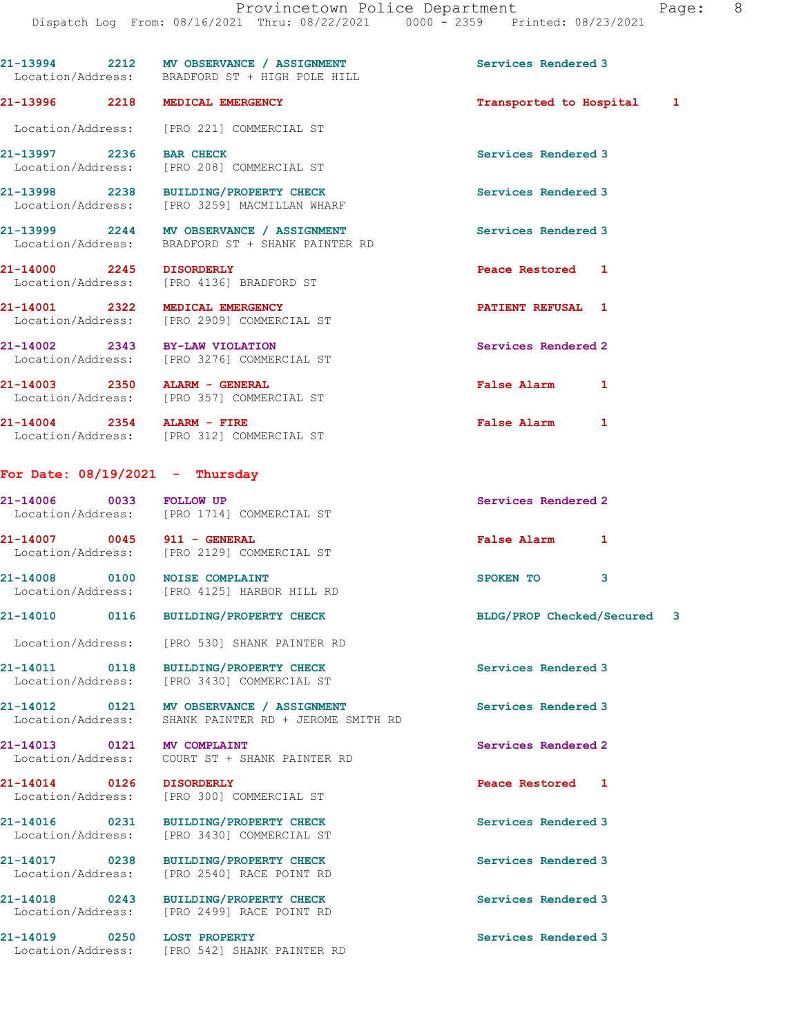|                                   | 21-13994 2212 MV OBSERVANCE / ASSIGNMENT<br>Location/Address: BRADFORD ST + HIGH POLE HILL   | Services Rendered 3         |
|-----------------------------------|----------------------------------------------------------------------------------------------|-----------------------------|
|                                   | 21-13996 2218 MEDICAL EMERGENCY                                                              | Transported to Hospital 1   |
|                                   | Location/Address: [PRO 221] COMMERCIAL ST                                                    |                             |
| 21-13997 2236 BAR CHECK           | Location/Address: [PRO 208] COMMERCIAL ST                                                    | Services Rendered 3         |
|                                   | 21-13998 2238 BUILDING/PROPERTY CHECK<br>Location/Address: [PRO 3259] MACMILLAN WHARF        | Services Rendered 3         |
|                                   | 21-13999 2244 MV OBSERVANCE / ASSIGNMENT<br>Location/Address: BRADFORD ST + SHANK PAINTER RD | Services Rendered 3         |
|                                   | 21-14000 2245 DISORDERLY<br>Location/Address: [PRO 4136] BRADFORD ST                         | Peace Restored 1            |
| 21-14001 2322 MEDICAL EMERGENCY   | Location/Address: [PRO 2909] COMMERCIAL ST                                                   | PATIENT REFUSAL 1           |
| 21-14002 2343 BY-LAW VIOLATION    | Location/Address: [PRO 3276] COMMERCIAL ST                                                   | Services Rendered 2         |
| 21-14003 2350 ALARM - GENERAL     | Location/Address: [PRO 357] COMMERCIAL ST                                                    | False Alarm 1               |
|                                   | 21-14004 2354 ALARM - FIRE<br>Location/Address: [PRO 312] COMMERCIAL ST                      | False Alarm 1               |
| For Date: $08/19/2021$ - Thursday |                                                                                              |                             |
|                                   | 21-14006 0033 FOLLOW UP<br>Location/Address: [PRO 1714] COMMERCIAL ST                        | Services Rendered 2         |
| 21-14007 0045 911 - GENERAL       | Location/Address: [PRO 2129] COMMERCIAL ST                                                   | False Alarm 1               |
|                                   | 21-14008 0100 NOISE COMPLAINT<br>Location/Address: [PRO 4125] HARBOR HILL RD                 | SPOKEN TO 3                 |
|                                   | 21-14010 0116 BUILDING/PROPERTY CHECK                                                        | BLDG/PROP Checked/Secured 3 |
|                                   | Location/Address: [PRO 530] SHANK PAINTER RD                                                 |                             |
|                                   | 21-14011 0118 BUILDING/PROPERTY CHECK<br>Location/Address: [PRO 3430] COMMERCIAL ST          | Services Rendered 3         |
| Location/Address:                 | 21-14012 0121 MV OBSERVANCE / ASSIGNMENT<br>SHANK PAINTER RD + JEROME SMITH RD               | Services Rendered 3         |
| 21-14013 0121 MV COMPLAINT        | Location/Address:     COURT ST + SHANK PAINTER RD                                            | Services Rendered 2         |
| 21-14014 0126 DISORDERLY          | Location/Address: [PRO 300] COMMERCIAL ST                                                    | Peace Restored 1            |
|                                   | 21-14016 0231 BUILDING/PROPERTY CHECK<br>Location/Address: [PRO 3430] COMMERCIAL ST          | Services Rendered 3         |
| Location/Address:                 | 21-14017 0238 BUILDING/PROPERTY CHECK<br>[PRO 2540] RACE POINT RD                            | Services Rendered 3         |
|                                   | 21-14018 0243 BUILDING/PROPERTY CHECK<br>Location/Address: [PRO 2499] RACE POINT RD          | Services Rendered 3         |
| 21-14019 0250 LOST PROPERTY       | Location/Address: [PRO 542] SHANK PAINTER RD                                                 | Services Rendered 3         |
|                                   |                                                                                              |                             |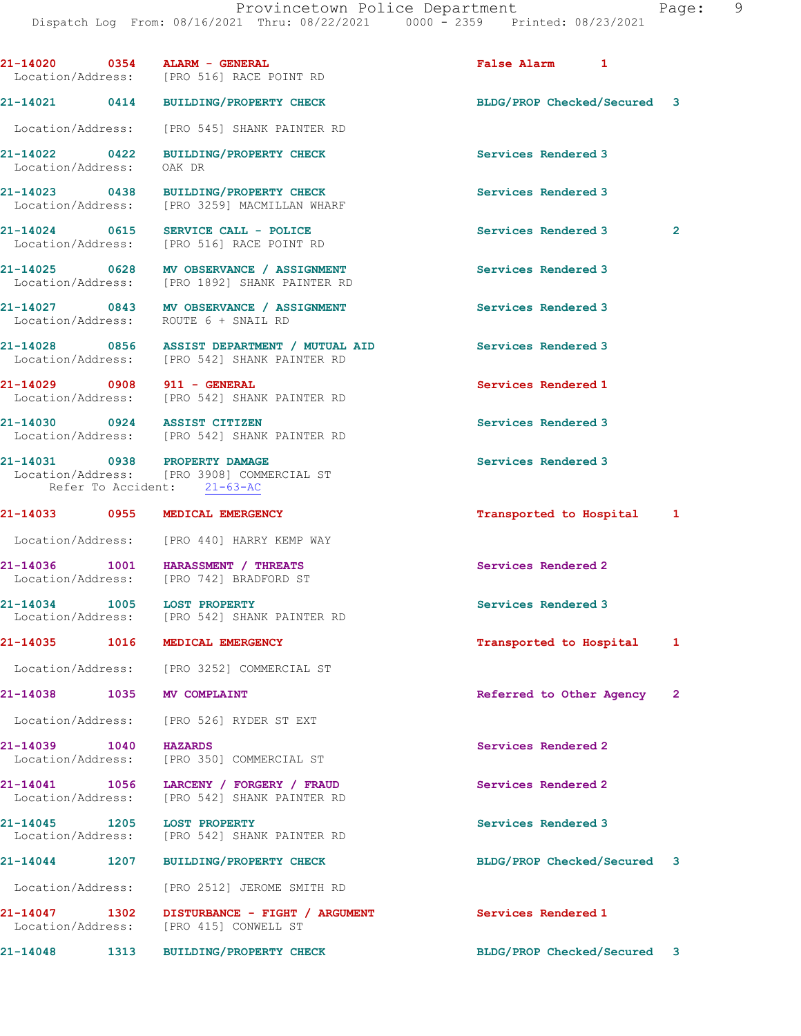21-14020 0354 ALARM - GENERAL False Alarm 1 Location/Address: [PRO 516] RACE POINT RD 21-14021 0414 BUILDING/PROPERTY CHECK BLDG/PROP Checked/Secured 3 Location/Address: [PRO 545] SHANK PAINTER RD 21-14022 0422 BUILDING/PROPERTY CHECK Services Rendered 3 Location/Address: OAK DR 21-14023 0438 BUILDING/PROPERTY CHECK Services Rendered 3<br>
Location/Address: [PRO 3259] MACMILLAN WHARF [PRO 3259] MACMILLAN WHARF 21-14024 0615 SERVICE CALL - POLICE 20 Services Rendered 3 2 Location/Address: [PRO 516] RACE POINT RD 21-14025 0628 MV OBSERVANCE / ASSIGNMENT Services Rendered 3 Location/Address: [PRO 1892] SHANK PAINTER RD 21-14027 0843 MV OBSERVANCE / ASSIGNMENT Services Rendered 3 Location/Address: ROUTE 6 + SNAIL RD 21-14028 0856 ASSIST DEPARTMENT / MUTUAL AID Services Rendered 3 Location/Address: [PRO 542] SHANK PAINTER RD 21-14029 0908 911 - GENERAL Services Rendered 1 Location/Address: [PRO 542] SHANK PAINTER RD 21-14030 0924 ASSIST CITIZEN Services Rendered 3 Location/Address: [PRO 542] SHANK PAINTER RD 21-14031 0938 PROPERTY DAMAGE Services Rendered 3 Location/Address: [PRO 3908] COMMERCIAL ST Refer To Accident: 21-63-AC 21-14033 0955 MEDICAL EMERGENCY Transported to Hospital 1 Location/Address: [PRO 440] HARRY KEMP WAY 21-14036 1001 HARASSMENT / THREATS Services Rendered 2 Location/Address: [PRO 742] BRADFORD ST 21-14034 1005 LOST PROPERTY Services Rendered 3 Location/Address: [PRO 542] SHANK PAINTER RD 21-14035 1016 MEDICAL EMERGENCY Transported to Hospital 1 Location/Address: [PRO 3252] COMMERCIAL ST 21-14038 1035 MV COMPLAINT **1200 COMPLAINT** Referred to Other Agency 2 Location/Address: [PRO 526] RYDER ST EXT 21-14039 1040 HAZARDS Services Rendered 2 Location/Address: [PRO 350] COMMERCIAL ST 21-14041 1056 LARCENY / FORGERY / FRAUD Services Rendered 2 Location/Address: [PRO 542] SHANK PAINTER RD 21-14045 1205 LOST PROPERTY Services Rendered 3 Location/Address: [PRO 542] SHANK PAINTER RD 21-14044 1207 BUILDING/PROPERTY CHECK BLDG/PROP Checked/Secured 3 Location/Address: [PRO 2512] JEROME SMITH RD 21-14047 1302 DISTURBANCE - FIGHT / ARGUMENT Services Rendered 1 Location/Address: [PRO 415] CONWELL ST

21-14048 1313 BUILDING/PROPERTY CHECK BLDG/PROP Checked/Secured 3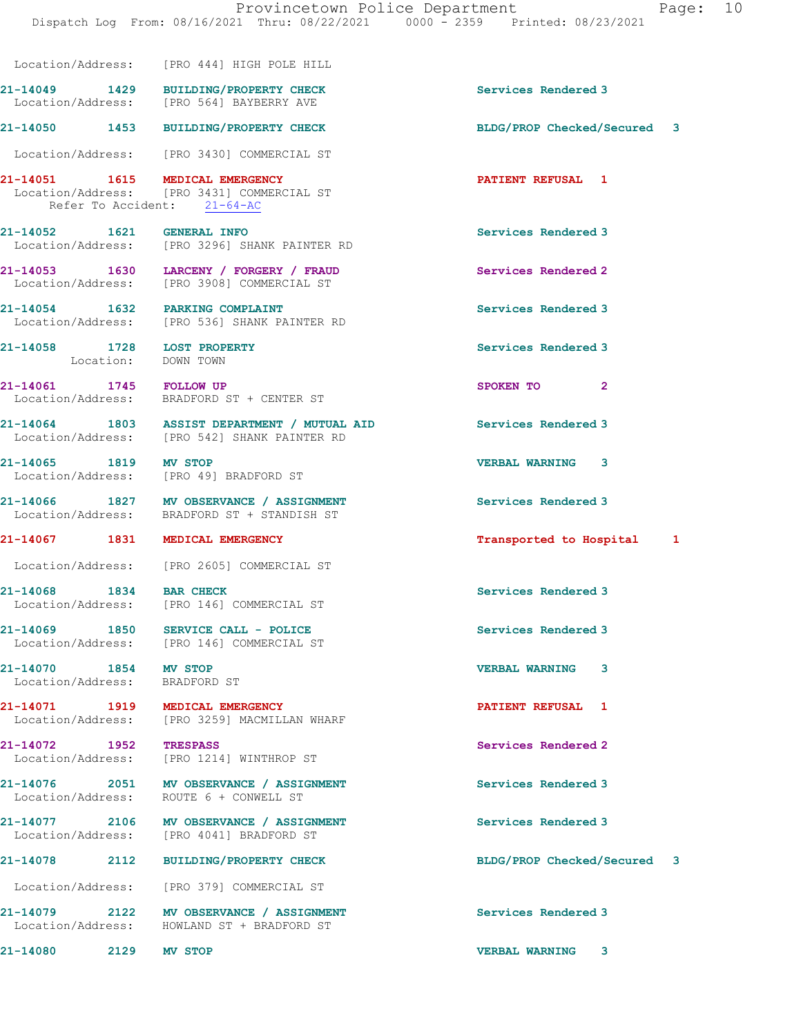|                                                        |      | Location/Address: [PRO 444] HIGH POLE HILL                                                                       |                             |  |
|--------------------------------------------------------|------|------------------------------------------------------------------------------------------------------------------|-----------------------------|--|
|                                                        |      | 21-14049 1429 BUILDING/PROPERTY CHECK<br>Location/Address: [PRO 564] BAYBERRY AVE                                | Services Rendered 3         |  |
|                                                        |      | 21-14050 1453 BUILDING/PROPERTY CHECK                                                                            | BLDG/PROP Checked/Secured 3 |  |
|                                                        |      | Location/Address: [PRO 3430] COMMERCIAL ST                                                                       |                             |  |
|                                                        |      | 21-14051   1615   MEDICAL EMERGENCY<br>Location/Address: [PRO 3431] COMMERCIAL ST<br>Refer To Accident: 21-64-AC | <b>PATIENT REFUSAL 1</b>    |  |
| 21-14052 1621 GENERAL INFO                             |      | Location/Address: [PRO 3296] SHANK PAINTER RD                                                                    | Services Rendered 3         |  |
|                                                        |      | 21-14053 1630 LARCENY / FORGERY / FRAUD<br>Location/Address: [PRO 3908] COMMERCIAL ST                            | <b>Services Rendered 2</b>  |  |
|                                                        |      | 21-14054 1632 PARKING COMPLAINT<br>Location/Address: [PRO 536] SHANK PAINTER RD                                  | Services Rendered 3         |  |
| 21-14058 1728 LOST PROPERTY<br>Location: DOWN TOWN     |      |                                                                                                                  | Services Rendered 3         |  |
| 21-14061 1745 FOLLOW UP                                |      | Location/Address: BRADFORD ST + CENTER ST                                                                        | SPOKEN TO 2                 |  |
|                                                        |      | 21-14064 1803 ASSIST DEPARTMENT / MUTUAL AID<br>Location/Address: [PRO 542] SHANK PAINTER RD                     | <b>Services Rendered 3</b>  |  |
| 21-14065 1819 MV STOP                                  |      | Location/Address: [PRO 49] BRADFORD ST                                                                           | <b>VERBAL WARNING 3</b>     |  |
|                                                        |      | 21-14066 1827 MV OBSERVANCE / ASSIGNMENT<br>Location/Address: BRADFORD ST + STANDISH ST                          | Services Rendered 3         |  |
|                                                        |      | 21-14067 1831 MEDICAL EMERGENCY                                                                                  | Transported to Hospital 1   |  |
|                                                        |      | Location/Address: [PRO 2605] COMMERCIAL ST                                                                       |                             |  |
| 21-14068 1834 BAR CHECK                                |      | Location/Address: [PRO 146] COMMERCIAL ST                                                                        | Services Rendered 3         |  |
| 21-14069 1850                                          |      | SERVICE CALL - POLICE<br>Location/Address: [PRO 146] COMMERCIAL ST                                               | Services Rendered 3         |  |
| 21-14070 1854 MV STOP<br>Location/Address: BRADFORD ST |      |                                                                                                                  | <b>VERBAL WARNING</b><br>3  |  |
|                                                        |      | 21-14071 1919 MEDICAL EMERGENCY<br>Location/Address: [PRO 3259] MACMILLAN WHARF                                  | PATIENT REFUSAL 1           |  |
|                                                        |      | 21-14072 1952 TRESPASS<br>Location/Address: [PRO 1214] WINTHROP ST                                               | Services Rendered 2         |  |
|                                                        |      | 21-14076 2051 MV OBSERVANCE / ASSIGNMENT<br>Location/Address: ROUTE 6 + CONWELL ST                               | Services Rendered 3         |  |
|                                                        |      | 21-14077 2106 MV OBSERVANCE / ASSIGNMENT<br>Location/Address: [PRO 4041] BRADFORD ST                             | Services Rendered 3         |  |
|                                                        |      | 21-14078 2112 BUILDING/PROPERTY CHECK                                                                            | BLDG/PROP Checked/Secured 3 |  |
|                                                        |      | Location/Address: [PRO 379] COMMERCIAL ST                                                                        |                             |  |
|                                                        |      | 21-14079 2122 MV OBSERVANCE / ASSIGNMENT<br>Location/Address: HOWLAND ST + BRADFORD ST                           | Services Rendered 3         |  |
| 21-14080                                               | 2129 | <b>MV STOP</b>                                                                                                   | <b>VERBAL WARNING 3</b>     |  |
|                                                        |      |                                                                                                                  |                             |  |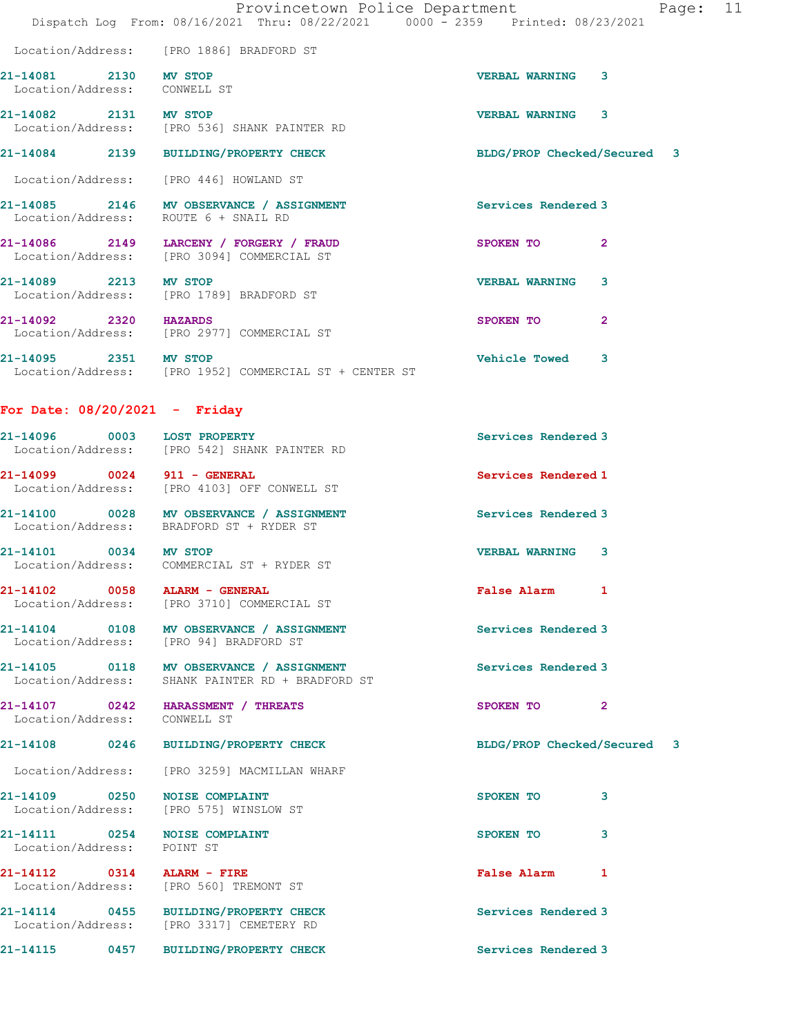|                                               |                                                                     | Provincetown Police Department                                                 | 11<br>Page: |
|-----------------------------------------------|---------------------------------------------------------------------|--------------------------------------------------------------------------------|-------------|
|                                               |                                                                     | Dispatch Log From: 08/16/2021 Thru: 08/22/2021 0000 - 2359 Printed: 08/23/2021 |             |
|                                               | Location/Address: [PRO 1886] BRADFORD ST                            |                                                                                |             |
| 21-14081 2130<br>Location/Address: CONWELL ST | MV STOP                                                             | 3<br><b>VERBAL WARNING</b>                                                     |             |
| 2131<br>21-14082                              | <b>MV STOP</b><br>Location/Address: [PRO 536] SHANK PAINTER RD      | 3<br><b>VERBAL WARNING</b>                                                     |             |
| 21-14084                                      | 2139 BUILDING/PROPERTY CHECK                                        | BLDG/PROP Checked/Secured 3                                                    |             |
|                                               | Location/Address: [PRO 446] HOWLAND ST                              |                                                                                |             |
| 2146<br>21-14085<br>Location/Address:         | <b>MV OBSERVANCE / ASSIGNMENT</b><br>ROUTE 6 + SNAIL RD             | Services Rendered 3                                                            |             |
| Location/Address:                             | 21-14086 2149 LARCENY / FORGERY / FRAUD<br>[PRO 3094] COMMERCIAL ST | $\overline{2}$<br>SPOKEN TO                                                    |             |

21-14089 2213 MV STOP VERBAL WARNING 3 Location/Address: [PRO 1789] BRADFORD ST

21-14092 2320 HAZARDS SPOKEN TO 2 Location/Address: [PRO 2977] COMMERCIAL ST

21-14095 2351 MV STOP Vehicle Towed 3 Location/Address: [PRO 1952] COMMERCIAL ST + CENTER ST

For Date: 08/20/2021 - Friday

| 21-14096<br>0003<br>Location/Address:                                                                                               | <b>LOST PROPERTY</b><br>[PRO 542] SHANK PAINTER RD   | Services Rendered 3   |
|-------------------------------------------------------------------------------------------------------------------------------------|------------------------------------------------------|-----------------------|
| 21-14099<br>0024<br>Location/Address:                                                                                               | $911 - \text{GENERAL}$<br>[PRO 4103] OFF CONWELL ST  | Services Rendered 1   |
| 21-14100<br>0028<br>Location/Address:                                                                                               | MV OBSERVANCE / ASSIGNMENT<br>BRADFORD ST + RYDER ST | Services Rendered 3   |
| 21-14101<br>0034<br>the contract of the contract of the contract of the contract of the contract of the contract of the contract of | MV STOP                                              | <b>VERBAL WARNING</b> |

Location/Address: COMMERCIAL ST + RYDER ST

21-14102 0058 ALARM - GENERAL **False Alarm** 1 Location/Address: [PRO 3710] COMMERCIAL ST

21-14104 0108 MV OBSERVANCE / ASSIGNMENT Services Rendered 3 Location/Address: [PRO 94] BRADFORD ST

21-14105 0118 MV OBSERVANCE / ASSIGNMENT Services Rendered 3 Location/Address: SHANK PAINTER RD + BRADFORD ST

21-14107 0242 HARASSMENT / THREATS SPOKEN TO 2 Location/Address: CONWELL ST

21-14108 0246 BUILDING/PROPERTY CHECK BLDG/PROP Checked/Secured 3

Location/Address: [PRO 3259] MACMILLAN WHARF

21-14109 0250 NOISE COMPLAINT SPOKEN TO 3 Location/Address: [PRO 575] WINSLOW ST

Location/Address: POINT ST

21-14112 0314 ALARM - FIRE False Alarm 1 Location/Address: [PRO 560] TREMONT ST

21-14111 0254 NOISE COMPLAINT SPOKEN TO 3

21-14114 0455 BUILDING/PROPERTY CHECK Services Rendered 3 Location/Address: [PRO 3317] CEMETERY RD

21-14115 0457 BUILDING/PROPERTY CHECK Services Rendered 3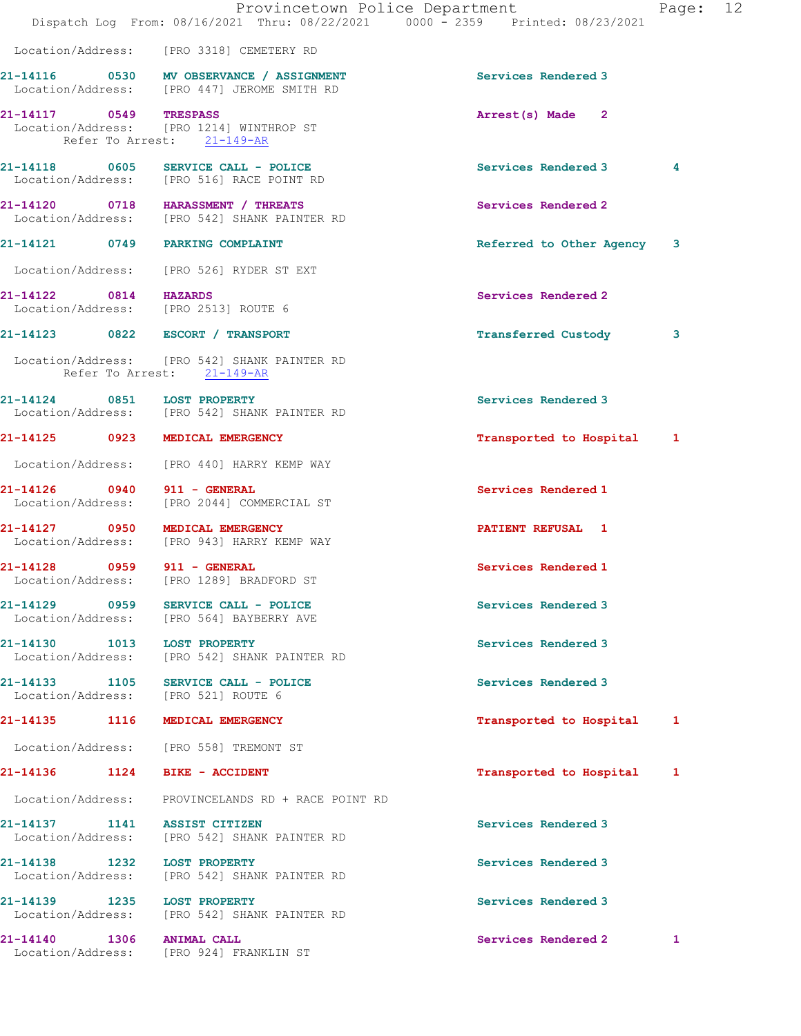|                        |      | Provincetown Police Department<br>Dispatch Log From: 08/16/2021 Thru: 08/22/2021 0000 - 2359 Printed: 08/23/2021 |                            | Page: 12     |  |
|------------------------|------|------------------------------------------------------------------------------------------------------------------|----------------------------|--------------|--|
|                        |      | Location/Address: [PRO 3318] CEMETERY RD                                                                         |                            |              |  |
|                        |      | 21-14116 0530 MV OBSERVANCE / ASSIGNMENT<br>Location/Address: [PRO 447] JEROME SMITH RD                          | Services Rendered 3        |              |  |
| 21-14117 0549 TRESPASS |      | Location/Address: [PRO 1214] WINTHROP ST<br>Refer To Arrest: 21-149-AR                                           | Arrest(s) Made 2           |              |  |
|                        |      | 21-14118 0605 SERVICE CALL - POLICE<br>Location/Address: [PRO 516] RACE POINT RD                                 | Services Rendered 3        | 4            |  |
|                        |      | 21-14120 0718 HARASSMENT / THREATS<br>Location/Address: [PRO 542] SHANK PAINTER RD                               | Services Rendered 2        |              |  |
|                        |      | 21-14121 0749 PARKING COMPLAINT                                                                                  | Referred to Other Agency   | 3            |  |
|                        |      | Location/Address: [PRO 526] RYDER ST EXT                                                                         |                            |              |  |
| 21-14122 0814 HAZARDS  |      | Location/Address: [PRO 2513] ROUTE 6                                                                             | Services Rendered 2        |              |  |
|                        |      | 21-14123 0822 ESCORT / TRANSPORT                                                                                 | <b>Transferred Custody</b> | 3            |  |
|                        |      | Location/Address: [PRO 542] SHANK PAINTER RD<br>Refer To Arrest: 21-149-AR                                       |                            |              |  |
|                        |      | 21-14124 0851 LOST PROPERTY<br>Location/Address: [PRO 542] SHANK PAINTER RD                                      | Services Rendered 3        |              |  |
|                        |      | 21-14125 0923 MEDICAL EMERGENCY                                                                                  | Transported to Hospital 1  |              |  |
|                        |      | Location/Address: [PRO 440] HARRY KEMP WAY                                                                       |                            |              |  |
|                        |      | 21-14126 0940 911 - GENERAL<br>Location/Address: [PRO 2044] COMMERCIAL ST                                        | Services Rendered 1        |              |  |
|                        |      | 21-14127 0950 MEDICAL EMERGENCY<br>Location/Address: [PRO 943] HARRY KEMP WAY                                    | <b>PATIENT REFUSAL 1</b>   |              |  |
| 21-14128               |      | 911 - GENERAL<br>Location/Address: [PRO 1289] BRADFORD ST                                                        | Services Rendered 1        |              |  |
| 21-14129 0959          |      | SERVICE CALL - POLICE<br>Location/Address: [PRO 564] BAYBERRY AVE                                                | Services Rendered 3        |              |  |
|                        |      | 21-14130 1013 LOST PROPERTY<br>Location/Address: [PRO 542] SHANK PAINTER RD                                      | Services Rendered 3        |              |  |
|                        |      | 21-14133 1105 SERVICE CALL - POLICE<br>Location/Address: [PRO 521] ROUTE 6                                       | Services Rendered 3        |              |  |
| 21-14135               |      | 1116 MEDICAL EMERGENCY                                                                                           | Transported to Hospital 1  |              |  |
|                        |      | Location/Address: [PRO 558] TREMONT ST                                                                           |                            |              |  |
|                        |      | 21-14136   1124   BIKE - ACCIDENT                                                                                | Transported to Hospital    | 1            |  |
|                        |      | Location/Address: PROVINCELANDS RD + RACE POINT RD                                                               |                            |              |  |
|                        |      | 21-14137 1141 ASSIST CITIZEN<br>Location/Address: [PRO 542] SHANK PAINTER RD                                     | Services Rendered 3        |              |  |
|                        |      | 21-14138 1232 LOST PROPERTY<br>Location/Address: [PRO 542] SHANK PAINTER RD                                      | Services Rendered 3        |              |  |
|                        |      | 21-14139 1235 LOST PROPERTY<br>Location/Address: [PRO 542] SHANK PAINTER RD                                      | Services Rendered 3        |              |  |
| 21-14140               | 1306 | <b>ANIMAL CALL</b>                                                                                               | Services Rendered 2        | $\mathbf{1}$ |  |

Location/Address: [PRO 924] FRANKLIN ST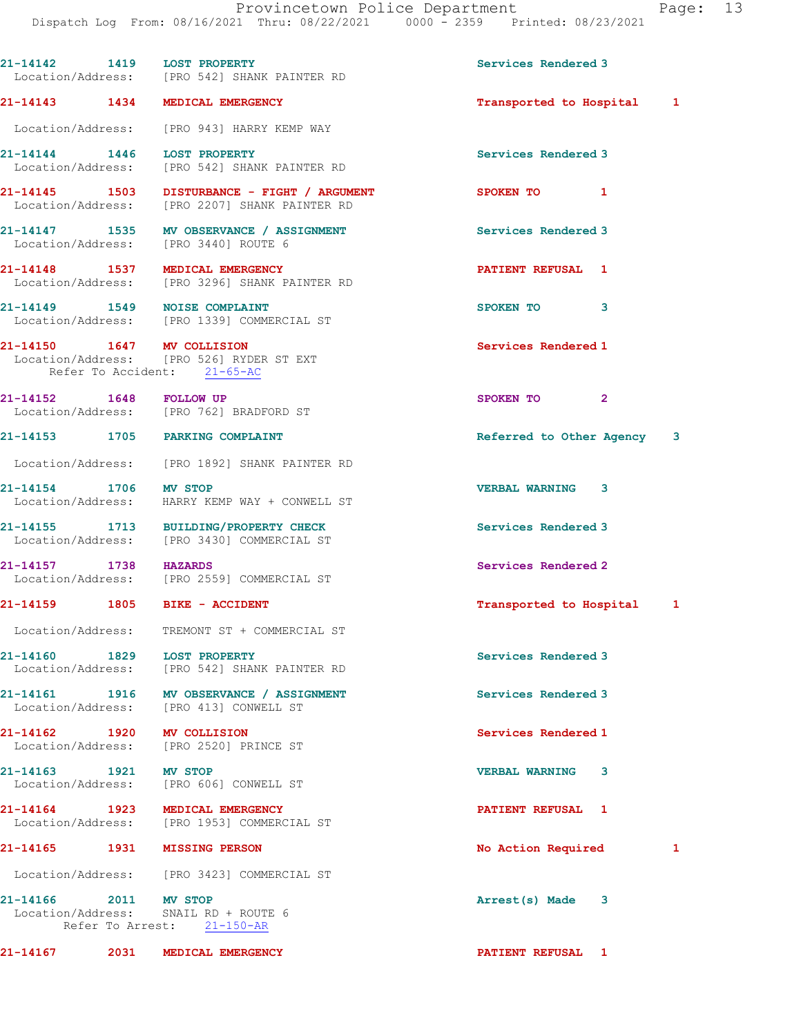|                            | 21-14142 1419 LOST PROPERTY<br>Location/Address: [PRO 542] SHANK PAINTER RD                   | Services Rendered 3        |   |
|----------------------------|-----------------------------------------------------------------------------------------------|----------------------------|---|
|                            | 21-14143 1434 MEDICAL EMERGENCY                                                               | Transported to Hospital 1  |   |
|                            | Location/Address: [PRO 943] HARRY KEMP WAY                                                    |                            |   |
|                            | 21-14144 1446 LOST PROPERTY<br>Location/Address: [PRO 542] SHANK PAINTER RD                   | Services Rendered 3        |   |
|                            | 21-14145 1503 DISTURBANCE - FIGHT / ARGUMENT<br>Location/Address: [PRO 2207] SHANK PAINTER RD | SPOKEN TO 1                |   |
|                            | 21-14147 1535 MV OBSERVANCE / ASSIGNMENT<br>Location/Address: [PRO 3440] ROUTE 6              | Services Rendered 3        |   |
|                            | 21-14148 1537 MEDICAL EMERGENCY<br>Location/Address: [PRO 3296] SHANK PAINTER RD              | <b>PATIENT REFUSAL 1</b>   |   |
|                            | 21-14149 1549 NOISE COMPLAINT<br>Location/Address: [PRO 1339] COMMERCIAL ST                   | SPOKEN TO 3                |   |
| 21-14150 1647 MV COLLISION | Location/Address: [PRO 526] RYDER ST EXT<br>Refer To Accident: 21-65-AC                       | Services Rendered 1        |   |
| 21-14152 1648 FOLLOW UP    | Location/Address: [PRO 762] BRADFORD ST                                                       | SPOKEN TO 2                |   |
|                            | 21-14153 1705 PARKING COMPLAINT                                                               | Referred to Other Agency 3 |   |
|                            | Location/Address: [PRO 1892] SHANK PAINTER RD                                                 |                            |   |
| 21-14154 1706 MV STOP      | Location/Address: HARRY KEMP WAY + CONWELL ST                                                 | <b>VERBAL WARNING 3</b>    |   |
|                            | 21-14155 1713 BUILDING/PROPERTY CHECK<br>Location/Address: [PRO 3430] COMMERCIAL ST           | Services Rendered 3        |   |
| 21-14157 1738 HAZARDS      | Location/Address: [PRO 2559] COMMERCIAL ST                                                    | Services Rendered 2        |   |
|                            | 21-14159   1805   BIKE - ACCIDENT                                                             | Transported to Hospital 1  |   |
|                            | Location/Address: TREMONT ST + COMMERCIAL ST                                                  |                            |   |
| 21-14160 1829              | <b>LOST PROPERTY</b><br>Location/Address: [PRO 542] SHANK PAINTER RD                          | Services Rendered 3        |   |
|                            | 21-14161 1916 MV OBSERVANCE / ASSIGNMENT<br>Location/Address: [PRO 413] CONWELL ST            | Services Rendered 3        |   |
| 21-14162 1920 MV COLLISION | Location/Address: [PRO 2520] PRINCE ST                                                        | Services Rendered 1        |   |
| 21-14163 1921 MV STOP      | Location/Address: [PRO 606] CONWELL ST                                                        | VERBAL WARNING 3           |   |
|                            | 21-14164 1923 MEDICAL EMERGENCY<br>Location/Address: [PRO 1953] COMMERCIAL ST                 | <b>PATIENT REFUSAL 1</b>   |   |
| 21-14165                   | 1931 MISSING PERSON                                                                           | No Action Required         | 1 |
|                            | Location/Address: [PRO 3423] COMMERCIAL ST                                                    |                            |   |
| 21-14166 2011 MV STOP      | Location/Address: SNAIL RD + ROUTE 6<br>Refer To Arrest: 21-150-AR                            | Arrest(s) Made 3           |   |
|                            | 21-14167 2031 MEDICAL EMERGENCY                                                               | <b>PATIENT REFUSAL 1</b>   |   |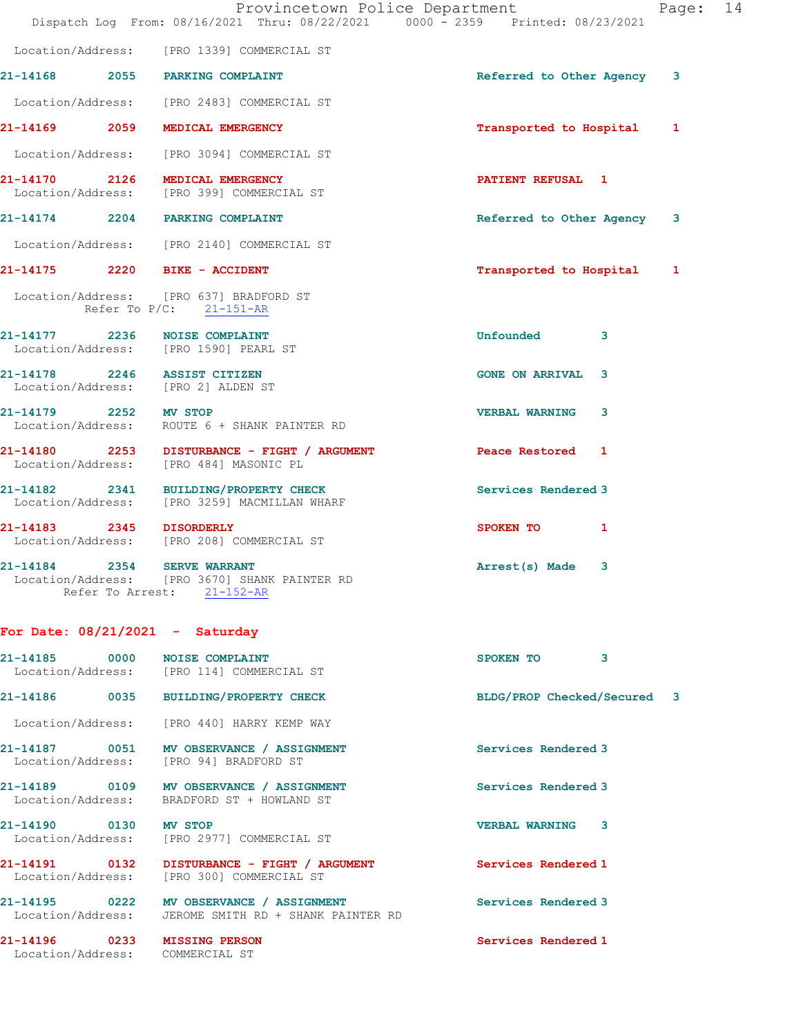|                                                                        | Provincetown Police Department<br>Dispatch Log From: 08/16/2021 Thru: 08/22/2021 0000 - 2359 Printed: 08/23/2021 |                            | Page: 14 |  |
|------------------------------------------------------------------------|------------------------------------------------------------------------------------------------------------------|----------------------------|----------|--|
|                                                                        | Location/Address: [PRO 1339] COMMERCIAL ST                                                                       |                            |          |  |
| 21-14168 2055 PARKING COMPLAINT                                        |                                                                                                                  | Referred to Other Agency 3 |          |  |
|                                                                        | Location/Address: [PRO 2483] COMMERCIAL ST                                                                       |                            |          |  |
| 21-14169 2059 MEDICAL EMERGENCY                                        |                                                                                                                  | Transported to Hospital    | 1        |  |
|                                                                        | Location/Address: [PRO 3094] COMMERCIAL ST                                                                       |                            |          |  |
| 21-14170 2126 MEDICAL EMERGENCY                                        | Location/Address: [PRO 399] COMMERCIAL ST                                                                        | <b>PATIENT REFUSAL 1</b>   |          |  |
| 21-14174 2204 PARKING COMPLAINT                                        |                                                                                                                  | Referred to Other Agency   | 3        |  |
|                                                                        | Location/Address: [PRO 2140] COMMERCIAL ST                                                                       |                            |          |  |
| 21-14175 2220 BIKE - ACCIDENT                                          |                                                                                                                  | Transported to Hospital 1  |          |  |
| Location/Address: [PRO 637] BRADFORD ST                                | Refer To $P/C$ : $21-151-AR$                                                                                     |                            |          |  |
| 21-14177 2236 NOISE COMPLAINT<br>Location/Address: [PRO 1590] PEARL ST |                                                                                                                  | Unfounded<br>3             |          |  |
| 21-14178 2246 ASSIST CITIZEN<br>Location/Address: [PRO 2] ALDEN ST     |                                                                                                                  | <b>GONE ON ARRIVAL 3</b>   |          |  |
| 21-14179 2252 MV STOP                                                  | Location/Address: ROUTE 6 + SHANK PAINTER RD                                                                     | <b>VERBAL WARNING</b><br>3 |          |  |
|                                                                        | 21-14180 2253 DISTURBANCE - FIGHT / ARGUMENT<br>Location/Address: [PRO 484] MASONIC PL                           | Peace Restored 1           |          |  |
|                                                                        | 21-14182 2341 BUILDING/PROPERTY CHECK<br>Location/Address: [PRO 3259] MACMILLAN WHARF                            | Services Rendered 3        |          |  |
| 21-14183 2345 DISORDERLY                                               | Location/Address: [PRO 208] COMMERCIAL ST                                                                        | SPOKEN TO 1                |          |  |
| 21-14184 2354 SERVE WARRANT                                            | Location/Address: [PRO 3670] SHANK PAINTER RD<br>Refer To Arrest: 21-152-AR                                      | Arrest(s) Made 3           |          |  |

## For Date: 08/21/2021 - Saturday

| 21-14185 0000                                    | <b>NOISE COMPLAINT</b><br>Location/Address: [PRO 114] COMMERCIAL ST                           | 3<br>SPOKEN TO              |
|--------------------------------------------------|-----------------------------------------------------------------------------------------------|-----------------------------|
| 21-14186                                         | 0035 BUILDING/PROPERTY CHECK                                                                  | BLDG/PROP Checked/Secured 3 |
|                                                  | Location/Address: [PRO 440] HARRY KEMP WAY                                                    |                             |
| 21-14187 0051                                    | MV OBSERVANCE / ASSIGNMENT<br>Location/Address: [PRO 94] BRADFORD ST                          | Services Rendered 3         |
| Location/Address:                                | 21-14189 0109 MV OBSERVANCE / ASSIGNMENT<br>BRADFORD ST + HOWLAND ST                          | Services Rendered 3         |
| 21-14190 0130                                    | <b>MV STOP</b><br>Location/Address: [PRO 2977] COMMERCIAL ST                                  | 3<br><b>VERBAL WARNING</b>  |
|                                                  | 21-14191   0132   DISTURBANCE - FIGHT / ARGUMENT<br>Location/Address: [PRO 300] COMMERCIAL ST | Services Rendered 1         |
| 21-14195 0222<br>Location/Address:               | MV OBSERVANCE / ASSIGNMENT<br>JEROME SMITH RD + SHANK PAINTER RD                              | Services Rendered 3         |
| 21-14196 0233<br>Location/Address: COMMERCIAL ST | <b>MISSING PERSON</b>                                                                         | Services Rendered 1         |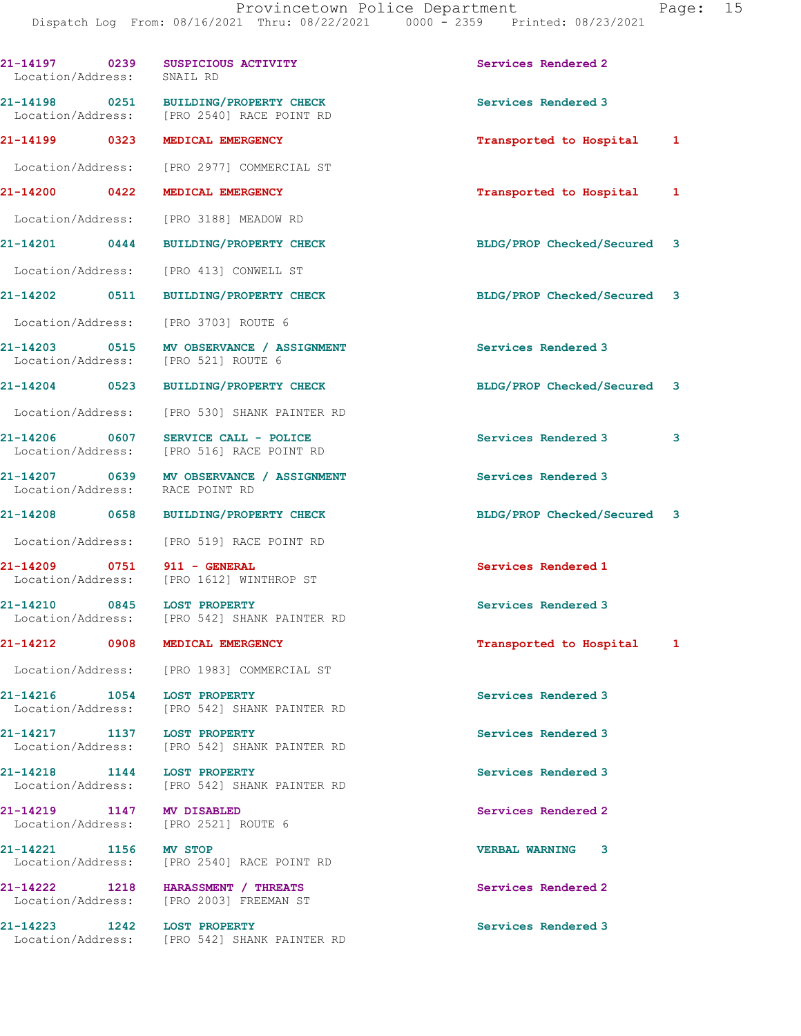| 21-14197 0239<br>Location/Address: |      | SUSPICIOUS ACTIVITY<br>SNAIL RD                                                     | Services Rendered 2         |   |
|------------------------------------|------|-------------------------------------------------------------------------------------|-----------------------------|---|
|                                    |      | 21-14198 0251 BUILDING/PROPERTY CHECK<br>Location/Address: [PRO 2540] RACE POINT RD | Services Rendered 3         |   |
| 21-14199 0323                      |      | MEDICAL EMERGENCY                                                                   | Transported to Hospital     | 1 |
|                                    |      | Location/Address: [PRO 2977] COMMERCIAL ST                                          |                             |   |
| $21 - 14200$ 0422                  |      | MEDICAL EMERGENCY                                                                   | Transported to Hospital     | 1 |
| Location/Address:                  |      | [PRO 3188] MEADOW RD                                                                |                             |   |
|                                    |      | 21-14201 0444 BUILDING/PROPERTY CHECK                                               | BLDG/PROP Checked/Secured   | 3 |
|                                    |      | Location/Address: [PRO 413] CONWELL ST                                              |                             |   |
| 21-14202 0511                      |      | <b>BUILDING/PROPERTY CHECK</b>                                                      | BLDG/PROP Checked/Secured 3 |   |
|                                    |      | Location/Address: [PRO 3703] ROUTE 6                                                |                             |   |
|                                    |      | 21-14203 0515 MV OBSERVANCE / ASSIGNMENT<br>Location/Address: [PRO 521] ROUTE 6     | Services Rendered 3         |   |
|                                    |      | 21-14204 0523 BUILDING/PROPERTY CHECK                                               | BLDG/PROP Checked/Secured   | 3 |
|                                    |      | Location/Address: [PRO 530] SHANK PAINTER RD                                        |                             |   |
| 21-14206 0607                      |      | SERVICE CALL - POLICE<br>Location/Address: [PRO 516] RACE POINT RD                  | Services Rendered 3         | 3 |
|                                    |      | 21-14207 0639 MV OBSERVANCE / ASSIGNMENT<br>Location/Address: RACE POINT RD         | Services Rendered 3         |   |
| 21-14208 0658                      |      | <b>BUILDING/PROPERTY CHECK</b>                                                      | BLDG/PROP Checked/Secured 3 |   |
|                                    |      | Location/Address: [PRO 519] RACE POINT RD                                           |                             |   |
|                                    |      |                                                                                     |                             |   |
|                                    |      | 21-14209 0751 911 - GENERAL<br>Location/Address: [PRO 1612] WINTHROP ST             | Services Rendered 1         |   |
|                                    |      | 21-14210 0845 LOST PROPERTY<br>Location/Address: [PRO 542] SHANK PAINTER RD         | Services Rendered 3         |   |
| 21-14212                           | 0908 | MEDICAL EMERGENCY                                                                   | Transported to Hospital     | 1 |
|                                    |      | Location/Address: [PRO 1983] COMMERCIAL ST                                          |                             |   |
|                                    |      | 21-14216    1054    LOST PROPERTY<br>Location/Address: [PRO 542] SHANK PAINTER RD   | Services Rendered 3         |   |
|                                    |      | 21-14217 1137 LOST PROPERTY<br>Location/Address: [PRO 542] SHANK PAINTER RD         | Services Rendered 3         |   |
|                                    |      | 21-14218   1144   LOST PROPERTY<br>Location/Address: [PRO 542] SHANK PAINTER RD     | Services Rendered 3         |   |
|                                    |      | 21-14219 1147 MV DISABLED<br>Location/Address: [PRO 2521] ROUTE 6                   | Services Rendered 2         |   |
| 21-14221 1156 MV STOP              |      | Location/Address: [PRO 2540] RACE POINT RD                                          | <b>VERBAL WARNING 3</b>     |   |
|                                    |      | 21-14222 1218 HARASSMENT / THREATS<br>Location/Address: [PRO 2003] FREEMAN ST       | Services Rendered 2         |   |
|                                    |      | 21-14223 1242 LOST PROPERTY<br>Location/Address: [PRO 542] SHANK PAINTER RD         | Services Rendered 3         |   |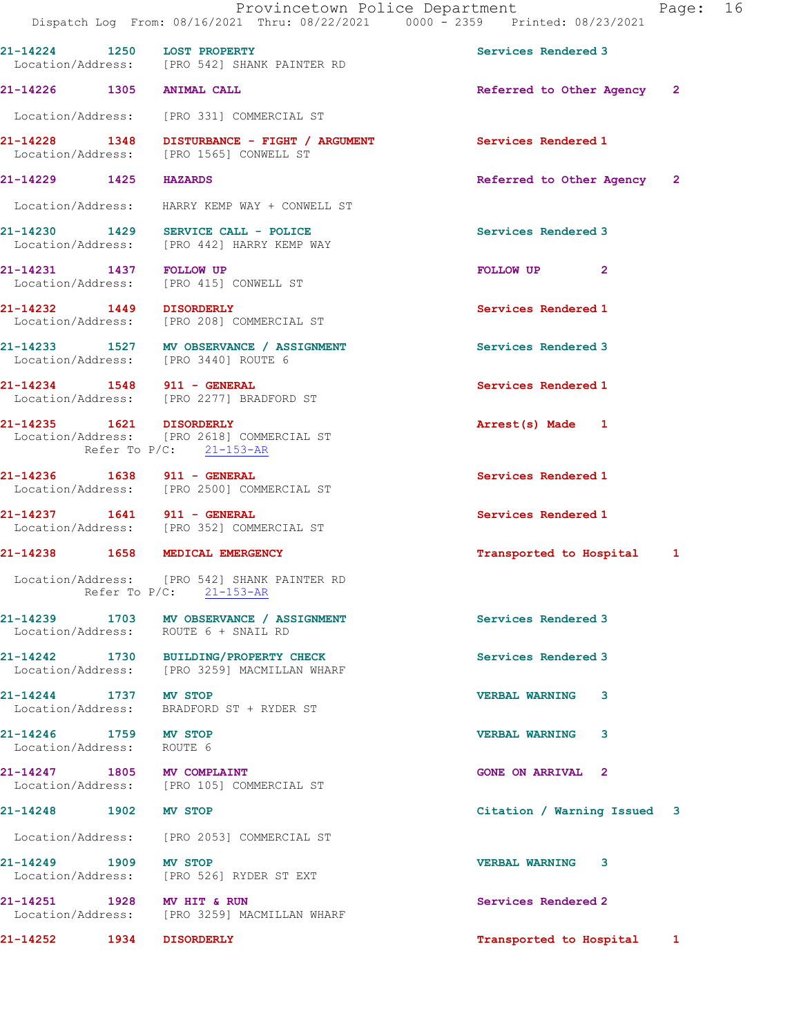|                                                    | Provincetown Police Department<br>Dispatch Log From: 08/16/2021 Thru: 08/22/2021 0000 - 2359 Printed: 08/23/2021 |                             | Page: 16 |  |
|----------------------------------------------------|------------------------------------------------------------------------------------------------------------------|-----------------------------|----------|--|
| 21-14224 1250 LOST PROPERTY                        | Location/Address: [PRO 542] SHANK PAINTER RD                                                                     | Services Rendered 3         |          |  |
| 21-14226 1305 ANIMAL CALL                          |                                                                                                                  | Referred to Other Agency 2  |          |  |
|                                                    | Location/Address: [PRO 331] COMMERCIAL ST                                                                        |                             |          |  |
|                                                    | 21-14228 1348 DISTURBANCE - FIGHT / ARGUMENT<br>Location/Address: [PRO 1565] CONWELL ST                          | Services Rendered 1         |          |  |
| 21-14229 1425 HAZARDS                              |                                                                                                                  | Referred to Other Agency 2  |          |  |
|                                                    | Location/Address: HARRY KEMP WAY + CONWELL ST                                                                    |                             |          |  |
|                                                    | $21-14230$ 1429 SERVICE CALL - POLICE<br>Location/Address: [PRO 442] HARRY KEMP WAY                              | Services Rendered 3         |          |  |
|                                                    | 21-14231 1437 FOLLOW UP<br>Location/Address: [PRO 415] CONWELL ST                                                | FOLLOW UP <sub>2</sub>      |          |  |
|                                                    | 21-14232 1449 DISORDERLY<br>Location/Address: [PRO 208] COMMERCIAL ST                                            | Services Rendered 1         |          |  |
|                                                    | 21-14233 1527 MV OBSERVANCE / ASSIGNMENT<br>Location/Address: [PRO 3440] ROUTE 6                                 | Services Rendered 3         |          |  |
| 21-14234 1548 911 - GENERAL                        | Location/Address: [PRO 2277] BRADFORD ST                                                                         | Services Rendered 1         |          |  |
| 21-14235    1621    DISORDERLY                     | Location/Address: [PRO 2618] COMMERCIAL ST<br>Refer To P/C: 21-153-AR                                            | Arrest(s) Made 1            |          |  |
| 21-14236    1638    911 - GENERAL                  | Location/Address: [PRO 2500] COMMERCIAL ST                                                                       | Services Rendered 1         |          |  |
| 21-14237 1641 911 - GENERAL                        | Location/Address: [PRO 352] COMMERCIAL ST                                                                        | Services Rendered 1         |          |  |
|                                                    | 21-14238 1658 MEDICAL EMERGENCY                                                                                  | Transported to Hospital 1   |          |  |
|                                                    | Location/Address: [PRO 542] SHANK PAINTER RD<br>Refer To P/C: 21-153-AR                                          |                             |          |  |
|                                                    | 21-14239 1703 MV OBSERVANCE / ASSIGNMENT<br>Location/Address: ROUTE 6 + SNAIL RD                                 | Services Rendered 3         |          |  |
|                                                    | 21-14242 1730 BUILDING/PROPERTY CHECK<br>Location/Address: [PRO 3259] MACMILLAN WHARF                            | Services Rendered 3         |          |  |
| 21-14244 1737 MV STOP                              | Location/Address: BRADFORD ST + RYDER ST                                                                         | <b>VERBAL WARNING</b><br>3  |          |  |
| 21-14246 1759 MV STOP<br>Location/Address: ROUTE 6 |                                                                                                                  | <b>VERBAL WARNING</b><br>3  |          |  |
| 21-14247 1805 MV COMPLAINT                         | Location/Address: [PRO 105] COMMERCIAL ST                                                                        | <b>GONE ON ARRIVAL 2</b>    |          |  |
| 21-14248 1902 MV STOP                              |                                                                                                                  | Citation / Warning Issued 3 |          |  |
|                                                    | Location/Address: [PRO 2053] COMMERCIAL ST                                                                       |                             |          |  |
| 21-14249 1909 MV STOP                              | Location/Address: [PRO 526] RYDER ST EXT                                                                         | VERBAL WARNING 3            |          |  |
| 21-14251 1928 MV HIT & RUN                         | Location/Address: [PRO 3259] MACMILLAN WHARF                                                                     | Services Rendered 2         |          |  |
| 21-14252 1934 DISORDERLY                           |                                                                                                                  | Transported to Hospital 1   |          |  |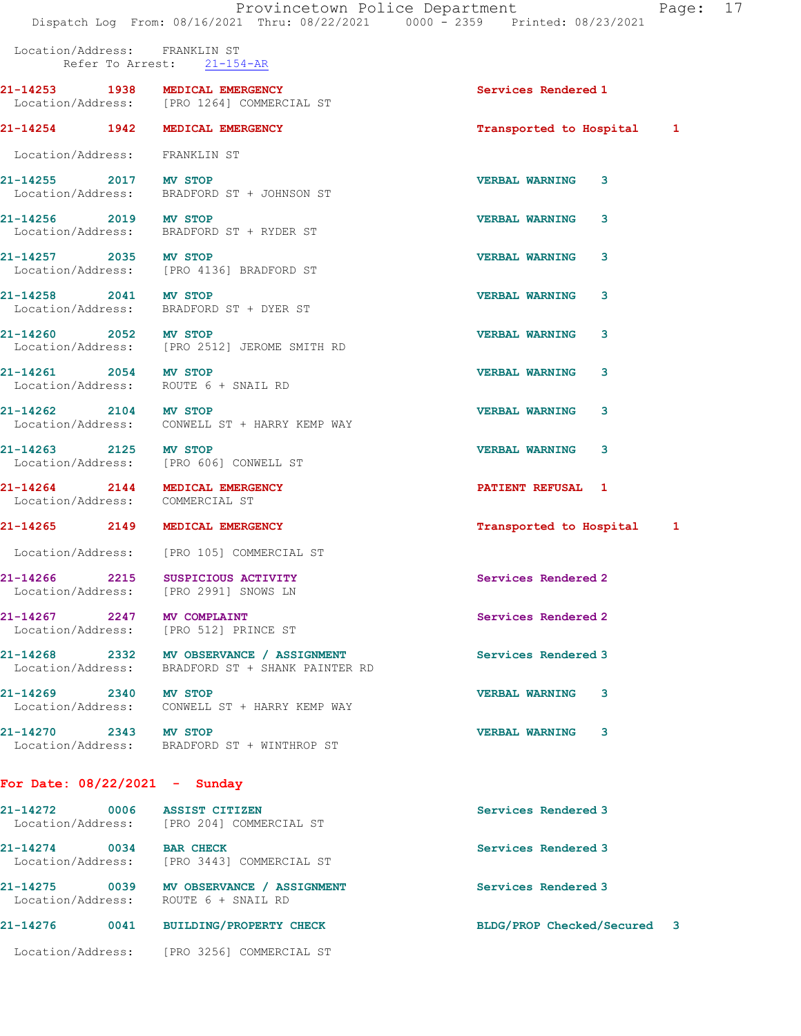Location/Address: FRANKLIN ST Refer To Arrest: 21-154-AR

21-14253 1938 MEDICAL EMERGENCY Services Rendered 1 Location/Address: [PRO 1264] COMMERCIAL ST

21-14254 1942 MEDICAL EMERGENCY Transported to Hospital 1

Location/Address: FRANKLIN ST

Location/Address: BRADFORD ST + JOHNSON ST

Location/Address: BRADFORD ST + RYDER ST

21-14261 2054 MV STOP VERBAL WARNING 3

21-14264 2144 MEDICAL EMERGENCY 2008 21-14264 2144 2144 Location/Address: COMMERCIAL ST

For Date: 08/22/2021 - Sunday

21-14272 0006 ASSIST CITIZEN Services Rendered 3 Location/Address: [PRO 204] COMMERCIAL ST 21-14274 0034 BAR CHECK Services Rendered 3 Location/Address: [PRO 3443] COMMERCIAL ST 21-14275 0039 MV OBSERVANCE / ASSIGNMENT Services Rendered 3 Location/Address: ROUTE 6 + SNAIL RD 21-14276 0041 BUILDING/PROPERTY CHECK BLDG/PROP Checked/Secured 3 Location/Address: [PRO 3256] COMMERCIAL ST

21-14255 2017 MV STOP VERBAL WARNING 3

21-14256 2019 MV STOP VERBAL WARNING 3

21-14257 2035 MV STOP 2008 2008 2009 2009 2010 2020 2035 2010 Location/Address: [PRO 4136] BRADFORD ST

21-14258 2041 MV STOP VERBAL WARNING 3 Location/Address: BRADFORD ST + DYER ST

21-14260 2052 MV STOP VERBAL WARNING 3 Location/Address: [PRO 2512] JEROME SMITH RD

Location/Address: ROUTE 6 + SNAIL RD

Location/Address: CONWELL ST + HARRY KEMP WAY

21-14263 2125 MV STOP VERBAL WARNING 3 Location/Address: [PRO 606] CONWELL ST

Location/Address: [PRO 105] COMMERCIAL ST

21-14266 2215 SUSPICIOUS ACTIVITY Services Rendered 2 Location/Address: [PRO 2991] SNOWS LN

Location/Address: [PRO 512] PRINCE ST

21-14268 2332 MV OBSERVANCE / ASSIGNMENT Services Rendered 3 Location/Address: BRADFORD ST + SHANK PAINTER RD

21-14269 2340 MV STOP VERBAL WARNING 3 Location/Address: CONWELL ST + HARRY KEMP WAY

21-14270 2343 MV STOP VERBAL WARNING 3 Location/Address: BRADFORD ST + WINTHROP ST

21-14262 2104 MV STOP VERBAL WARNING 3

21-14265 2149 MEDICAL EMERGENCY Transported to Hospital 1

21-14267 2247 MV COMPLAINT 2000 2000 Services Rendered 2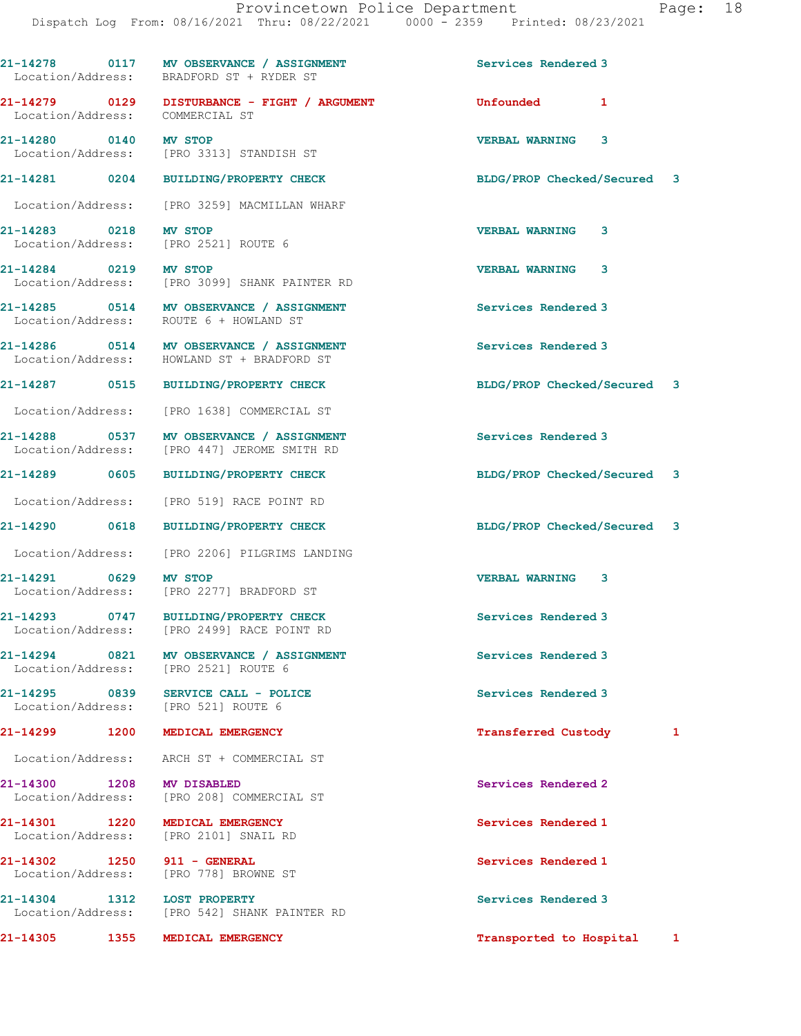21-14278 0117 MV OBSERVANCE / ASSIGNMENT Services Rendered 3 Location/Address: BRADFORD ST + RYDER ST 21-14279 0129 DISTURBANCE - FIGHT / ARGUMENT Unfounded 1 Location/Address: COMMERCIAL ST 21-14280 0140 MV STOP VERBAL WARNING 3 Location/Address: [PRO 3313] STANDISH ST 21-14281 0204 BUILDING/PROPERTY CHECK BLDG/PROP Checked/Secured 3 Location/Address: [PRO 3259] MACMILLAN WHARF 21-14283 0218 MV STOP VERBAL WARNING 3 Location/Address: [PRO 2521] ROUTE 6 21-14284 0219 MV STOP VERBAL WARNING 3 Location/Address: [PRO 3099] SHANK PAINTER RD 21-14285 0514 MV OBSERVANCE / ASSIGNMENT Services Rendered 3 Location/Address: ROUTE 6 + HOWLAND ST 21-14286 0514 MV OBSERVANCE / ASSIGNMENT Services Rendered 3 Location/Address: HOWLAND ST + BRADFORD ST 21-14287 0515 BUILDING/PROPERTY CHECK BLDG/PROP Checked/Secured 3 Location/Address: [PRO 1638] COMMERCIAL ST 21-14288 0537 MV OBSERVANCE / ASSIGNMENT Services Rendered 3 Location/Address: [PRO 447] JEROME SMITH RD 21-14289 0605 BUILDING/PROPERTY CHECK BLDG/PROP Checked/Secured 3 Location/Address: [PRO 519] RACE POINT RD 21-14290 0618 BUILDING/PROPERTY CHECK BLDG/PROP Checked/Secured 3 Location/Address: [PRO 2206] PILGRIMS LANDING 21-14291 0629 MV STOP VERBAL WARNING 3 Location/Address: [PRO 2277] BRADFORD ST 21-14293 0747 BUILDING/PROPERTY CHECK Services Rendered 3 Location/Address: [PRO 2499] RACE POINT RD 21-14294 0821 MV OBSERVANCE / ASSIGNMENT Services Rendered 3 Location/Address: [PRO 2521] ROUTE 6 21-14295 0839 SERVICE CALL - POLICE Services Rendered 3 Location/Address: [PRO 521] ROUTE 6 21-14299 1200 MEDICAL EMERGENCY 1 200 1 Transferred Custody 1 Location/Address: ARCH ST + COMMERCIAL ST 21-14300 1208 MV DISABLED Services Rendered 2 Location/Address: [PRO 208] COMMERCIAL ST 21-14301 1220 MEDICAL EMERGENCY Services Rendered 1 Location/Address: [PRO 2101] SNAIL RD 21-14302 1250 911 - GENERAL Services Rendered 1 Location/Address: [PRO 778] BROWNE ST 21-14304 1312 LOST PROPERTY Services Rendered 3 Location/Address: [PRO 542] SHANK PAINTER RD 21-14305 1355 MEDICAL EMERGENCY Transported to Hospital 1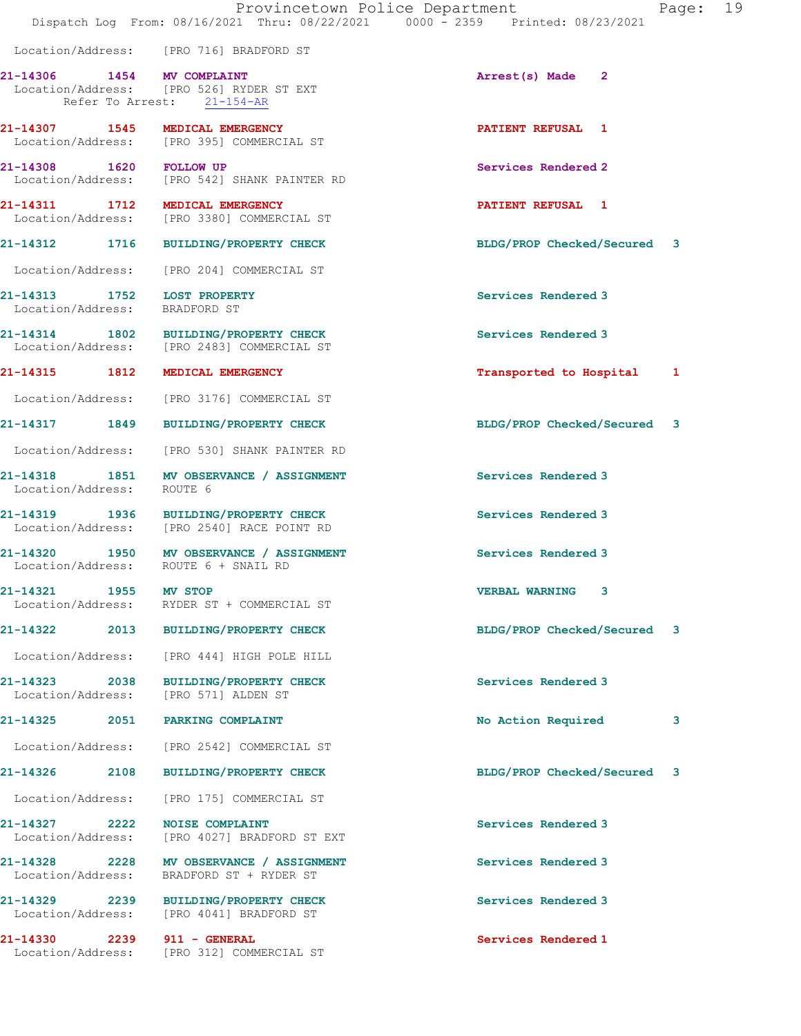|                                    |                                                                                     | Provincetown Police Department<br>Dispatch Log From: 08/16/2021 Thru: 08/22/2021 0000 - 2359 Printed: 08/23/2021 |                             | Page: 19 |  |
|------------------------------------|-------------------------------------------------------------------------------------|------------------------------------------------------------------------------------------------------------------|-----------------------------|----------|--|
|                                    | Location/Address: [PRO 716] BRADFORD ST                                             |                                                                                                                  |                             |          |  |
| 21-14306 1454 MV COMPLAINT         | Location/Address: [PRO 526] RYDER ST EXT<br>Refer To Arrest: 21-154-AR              |                                                                                                                  | Arrest(s) Made 2            |          |  |
|                                    | 21-14307 1545 MEDICAL EMERGENCY<br>Location/Address: [PRO 395] COMMERCIAL ST        |                                                                                                                  | <b>PATIENT REFUSAL 1</b>    |          |  |
|                                    | 21-14308 1620 FOLLOW UP<br>Location/Address: [PRO 542] SHANK PAINTER RD             |                                                                                                                  | Services Rendered 2         |          |  |
|                                    | 21-14311 1712 MEDICAL EMERGENCY<br>Location/Address: [PRO 3380] COMMERCIAL ST       |                                                                                                                  | <b>PATIENT REFUSAL 1</b>    |          |  |
|                                    | 21-14312 1716 BUILDING/PROPERTY CHECK                                               |                                                                                                                  | BLDG/PROP Checked/Secured 3 |          |  |
|                                    | Location/Address: [PRO 204] COMMERCIAL ST                                           |                                                                                                                  |                             |          |  |
| Location/Address: BRADFORD ST      | 21-14313 1752 LOST PROPERTY                                                         |                                                                                                                  | Services Rendered 3         |          |  |
|                                    | 21-14314 1802 BUILDING/PROPERTY CHECK<br>Location/Address: [PRO 2483] COMMERCIAL ST |                                                                                                                  | Services Rendered 3         |          |  |
|                                    | 21-14315 1812 MEDICAL EMERGENCY                                                     |                                                                                                                  | Transported to Hospital 1   |          |  |
|                                    | Location/Address: [PRO 3176] COMMERCIAL ST                                          |                                                                                                                  |                             |          |  |
|                                    | 21-14317 1849 BUILDING/PROPERTY CHECK                                               |                                                                                                                  | BLDG/PROP Checked/Secured 3 |          |  |
|                                    | Location/Address: [PRO 530] SHANK PAINTER RD                                        |                                                                                                                  |                             |          |  |
| Location/Address:                  | 21-14318 1851 MV OBSERVANCE / ASSIGNMENT<br>ROUTE 6                                 |                                                                                                                  | Services Rendered 3         |          |  |
|                                    | 21-14319 1936 BUILDING/PROPERTY CHECK<br>Location/Address: [PRO 2540] RACE POINT RD |                                                                                                                  | Services Rendered 3         |          |  |
|                                    | 21-14320 1950 MV OBSERVANCE / ASSIGNMENT<br>Location/Address: ROUTE 6 + SNAIL RD    |                                                                                                                  | Services Rendered 3         |          |  |
| 21-14321<br>Location/Address:      | 1955 MV STOP<br>RYDER ST + COMMERCIAL ST                                            |                                                                                                                  | <b>VERBAL WARNING 3</b>     |          |  |
|                                    | 21-14322 2013 BUILDING/PROPERTY CHECK                                               |                                                                                                                  | BLDG/PROP Checked/Secured 3 |          |  |
|                                    | Location/Address: [PRO 444] HIGH POLE HILL                                          |                                                                                                                  |                             |          |  |
|                                    | 21-14323 2038 BUILDING/PROPERTY CHECK<br>Location/Address: [PRO 571] ALDEN ST       |                                                                                                                  | Services Rendered 3         |          |  |
|                                    | 21-14325 2051 PARKING COMPLAINT                                                     |                                                                                                                  | No Action Required          | 3        |  |
|                                    | Location/Address: [PRO 2542] COMMERCIAL ST                                          |                                                                                                                  |                             |          |  |
|                                    | 21-14326 2108 BUILDING/PROPERTY CHECK                                               |                                                                                                                  | BLDG/PROP Checked/Secured 3 |          |  |
|                                    | Location/Address: [PRO 175] COMMERCIAL ST                                           |                                                                                                                  |                             |          |  |
| 21-14327 2222<br>Location/Address: | <b>NOISE COMPLAINT</b><br>[PRO 4027] BRADFORD ST EXT                                |                                                                                                                  | Services Rendered 3         |          |  |
| Location/Address:                  | 21-14328 2228 MV OBSERVANCE / ASSIGNMENT<br>BRADFORD ST + RYDER ST                  |                                                                                                                  | Services Rendered 3         |          |  |
|                                    | 21-14329 2239 BUILDING/PROPERTY CHECK<br>Location/Address: [PRO 4041] BRADFORD ST   |                                                                                                                  | Services Rendered 3         |          |  |
|                                    | 21-14330 2239 911 - GENERAL<br>Location/Address: [PRO 312] COMMERCIAL ST            |                                                                                                                  | Services Rendered 1         |          |  |
|                                    |                                                                                     |                                                                                                                  |                             |          |  |